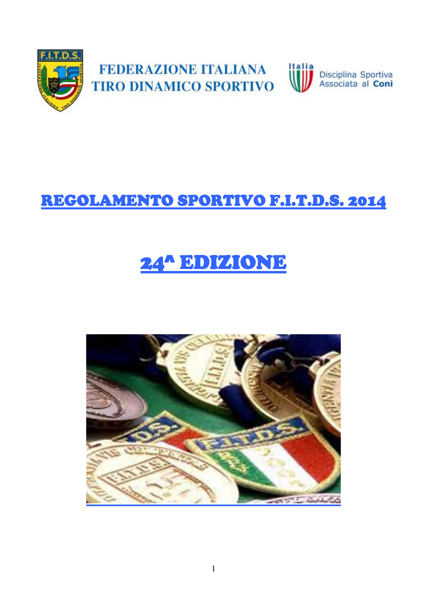

# REGOLAMENTO SPORTIVO F.I.T.D.S. 2014

# 24^ EDIZIONE

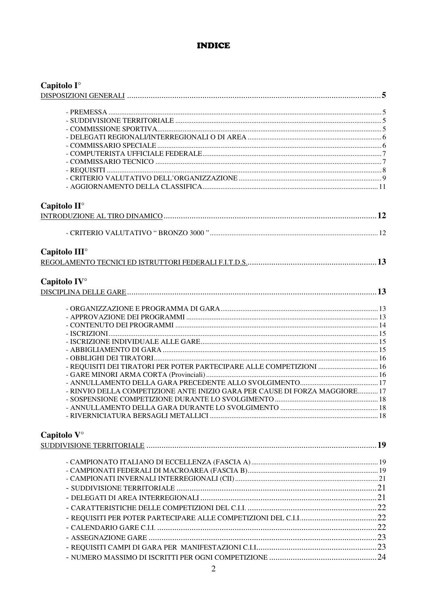#### **INDICE**

| Capitolo I°                                                                 |  |
|-----------------------------------------------------------------------------|--|
|                                                                             |  |
|                                                                             |  |
|                                                                             |  |
|                                                                             |  |
|                                                                             |  |
|                                                                             |  |
|                                                                             |  |
|                                                                             |  |
|                                                                             |  |
|                                                                             |  |
| Capitolo II <sup>o</sup>                                                    |  |
|                                                                             |  |
|                                                                             |  |
|                                                                             |  |
| Capitolo III <sup>o</sup>                                                   |  |
|                                                                             |  |
| Capitolo IV°                                                                |  |
|                                                                             |  |
|                                                                             |  |
|                                                                             |  |
|                                                                             |  |
|                                                                             |  |
|                                                                             |  |
|                                                                             |  |
|                                                                             |  |
| - REQUISITI DEI TIRATORI PER POTER PARTECIPARE ALLE COMPETIZIONI  16        |  |
|                                                                             |  |
| - RINVIO DELLA COMPETIZIONE ANTE INIZIO GARA PER CAUSE DI FORZA MAGGIORE 17 |  |
|                                                                             |  |
|                                                                             |  |
|                                                                             |  |
| Capitolo V°                                                                 |  |
|                                                                             |  |
|                                                                             |  |
|                                                                             |  |
|                                                                             |  |
|                                                                             |  |
|                                                                             |  |
|                                                                             |  |
|                                                                             |  |
|                                                                             |  |
|                                                                             |  |
|                                                                             |  |
|                                                                             |  |
|                                                                             |  |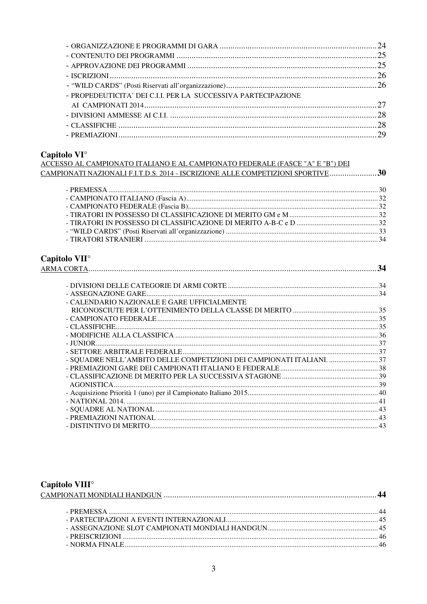| - PROPEDEUTICITA' DEI C.I.I. PER LA SUCCESSIVA PARTECIPAZIONE |  |
|---------------------------------------------------------------|--|
|                                                               |  |
|                                                               |  |
|                                                               |  |
|                                                               |  |

# Capitolo VI<sup>o</sup>

| ACCESSO AL CAMPIONATO ITALIANO E AL CAMPIONATO FEDERALE (FASCE "A" E "B") DEI  |
|--------------------------------------------------------------------------------|
| CAMPIONATI NAZIONALI F.I.T.D.S. 2014 - ISCRIZIONE ALLE COMPETIZIONI SPORTIVE30 |
|                                                                                |

# Capitolo VII<sup>o</sup>

| - CALENDARIO NAZIONALE E GARE UFFICIALMENTE                          |  |
|----------------------------------------------------------------------|--|
|                                                                      |  |
|                                                                      |  |
|                                                                      |  |
|                                                                      |  |
|                                                                      |  |
|                                                                      |  |
| - SQUADRE NELL'AMBITO DELLE COMPETIZIONI DEI CAMPIONATI ITALIANI. 37 |  |
|                                                                      |  |
|                                                                      |  |
|                                                                      |  |
|                                                                      |  |
|                                                                      |  |
|                                                                      |  |
|                                                                      |  |
|                                                                      |  |
|                                                                      |  |

# Capitolo VIII<sup>o</sup>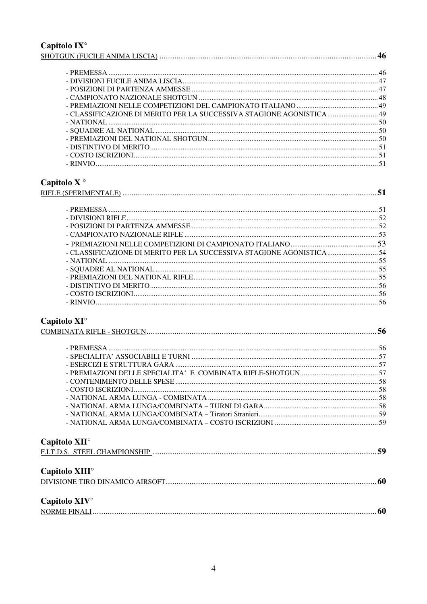# Capitolo  $IX^{\circ}$

| - CLASSIFICAZIONE DI MERITO PER LA SUCCESSIVA STAGIONE AGONISTICA 49 |  |
|----------------------------------------------------------------------|--|
|                                                                      |  |
|                                                                      |  |
|                                                                      |  |
|                                                                      |  |
|                                                                      |  |
|                                                                      |  |

# Capitolo X $^{\circ}$

| - CLASSIFICAZIONE DI MERITO PER LA SUCCESSIVA STAGIONE AGONISTICA 54 |  |
|----------------------------------------------------------------------|--|
|                                                                      |  |
|                                                                      |  |
|                                                                      |  |
|                                                                      |  |
|                                                                      |  |
|                                                                      |  |

# Capitolo  $XI^{\circ}$

| Capitolo XII <sup>o</sup>  |  |
|----------------------------|--|
|                            |  |
| Capitolo XIII <sup>o</sup> |  |
|                            |  |
| Capitolo XIV <sup>°</sup>  |  |
|                            |  |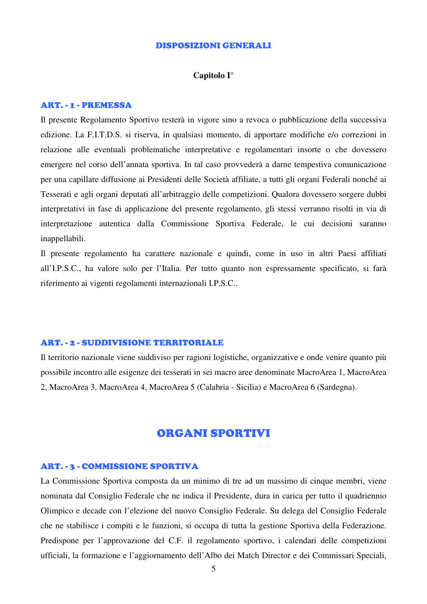#### DISPOSIZIONI GENERALI

#### **Capitolo I°**

#### ART. - 1 - PREMESSA

Il presente Regolamento Sportivo resterà in vigore sino a revoca o pubblicazione della successiva edizione. La F.I.T.D.S. si riserva, in qualsiasi momento, di apportare modifiche e/o correzioni in relazione alle eventuali problematiche interpretative e regolamentari insorte o che dovessero emergere nel corso dell'annata sportiva. In tal caso provvederà a darne tempestiva comunicazione per una capillare diffusione ai Presidenti delle Società affiliate, a tutti gli organi Federali nonché ai Tesserati e agli organi deputati all'arbitraggio delle competizioni. Qualora dovessero sorgere dubbi interpretativi in fase di applicazione del presente regolamento, gli stessi verranno risolti in via di interpretazione autentica dalla Commissione Sportiva Federale, le cui decisioni saranno inappellabili.

Il presente regolamento ha carattere nazionale e quindi, come in uso in altri Paesi affiliati all'I.P.S.C., ha valore solo per l'Italia. Per tutto quanto non espressamente specificato, si farà riferimento ai vigenti regolamenti internazionali I.P.S.C..

#### ART. - 2 - SUDDIVISIONE TERRITORIALE

Il territorio nazionale viene suddiviso per ragioni logistiche, organizzative e onde venire quanto più possibile incontro alle esigenze dei tesserati in sei macro aree denominate MacroArea 1, MacroArea 2, MacroArea 3, MacroArea 4, MacroArea 5 (Calabria - Sicilia) e MacroArea 6 (Sardegna).

### ORGANI SPORTIVI

#### ART. - 3 - COMMISSIONE SPORTIVA

La Commissione Sportiva composta da un minimo di tre ad un massimo di cinque membri, viene nominata dal Consiglio Federale che ne indica il Presidente, dura in carica per tutto il quadriennio Olimpico e decade con l'elezione del nuovo Consiglio Federale. Su delega del Consiglio Federale che ne stabilisce i compiti e le funzioni, si occupa di tutta la gestione Sportiva della Federazione. Predispone per l'approvazione del C.F. il regolamento sportivo, i calendari delle competizioni ufficiali, la formazione e l'aggiornamento dell'Albo dei Match Director e dei Commissari Speciali,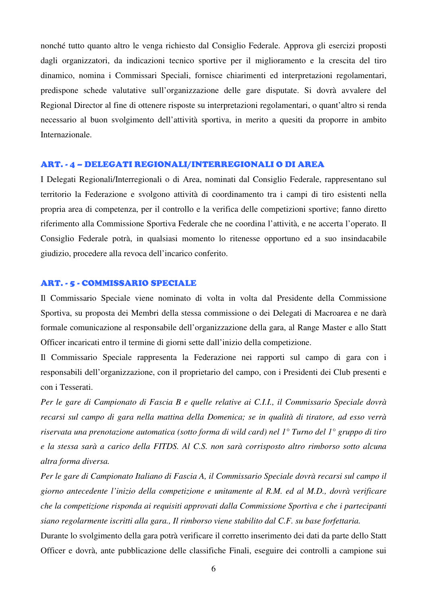nonché tutto quanto altro le venga richiesto dal Consiglio Federale. Approva gli esercizi proposti dagli organizzatori, da indicazioni tecnico sportive per il miglioramento e la crescita del tiro dinamico, nomina i Commissari Speciali, fornisce chiarimenti ed interpretazioni regolamentari, predispone schede valutative sull'organizzazione delle gare disputate. Si dovrà avvalere del Regional Director al fine di ottenere risposte su interpretazioni regolamentari, o quant'altro si renda necessario al buon svolgimento dell'attività sportiva, in merito a quesiti da proporre in ambito Internazionale.

#### ART. - 4 – DELEGATI REGIONALI/INTERREGIONALI O DI AREA

I Delegati Regionali/Interregionali o di Area, nominati dal Consiglio Federale, rappresentano sul territorio la Federazione e svolgono attività di coordinamento tra i campi di tiro esistenti nella propria area di competenza, per il controllo e la verifica delle competizioni sportive; fanno diretto riferimento alla Commissione Sportiva Federale che ne coordina l'attività, e ne accerta l'operato. Il Consiglio Federale potrà, in qualsiasi momento lo ritenesse opportuno ed a suo insindacabile giudizio, procedere alla revoca dell'incarico conferito.

#### ART. - 5 - COMMISSARIO SPECIALE

Il Commissario Speciale viene nominato di volta in volta dal Presidente della Commissione Sportiva, su proposta dei Membri della stessa commissione o dei Delegati di Macroarea e ne darà formale comunicazione al responsabile dell'organizzazione della gara, al Range Master e allo Statt Officer incaricati entro il termine di giorni sette dall'inizio della competizione.

Il Commissario Speciale rappresenta la Federazione nei rapporti sul campo di gara con i responsabili dell'organizzazione, con il proprietario del campo, con i Presidenti dei Club presenti e con i Tesserati.

*Per le gare di Campionato di Fascia B e quelle relative ai C.I.I., il Commissario Speciale dovrà recarsi sul campo di gara nella mattina della Domenica; se in qualità di tiratore, ad esso verrà riservata una prenotazione automatica (sotto forma di wild card) nel 1° Turno del 1° gruppo di tiro e la stessa sarà a carico della FITDS. Al C.S. non sarà corrisposto altro rimborso sotto alcuna altra forma diversa.* 

*Per le gare di Campionato Italiano di Fascia A, il Commissario Speciale dovrà recarsi sul campo il giorno antecedente l'inizio della competizione e unitamente al R.M. ed al M.D., dovrà verificare che la competizione risponda ai requisiti approvati dalla Commissione Sportiva e che i partecipanti siano regolarmente iscritti alla gara., Il rimborso viene stabilito dal C.F. su base forfettaria.* 

Durante lo svolgimento della gara potrà verificare il corretto inserimento dei dati da parte dello Statt Officer e dovrà, ante pubblicazione delle classifiche Finali, eseguire dei controlli a campione sui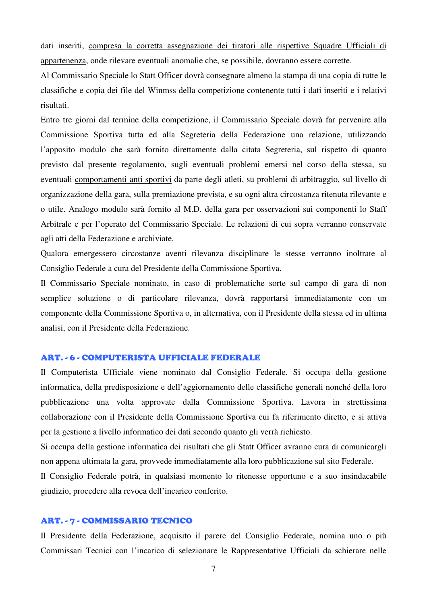dati inseriti, compresa la corretta assegnazione dei tiratori alle rispettive Squadre Ufficiali di appartenenza, onde rilevare eventuali anomalie che, se possibile, dovranno essere corrette.

Al Commissario Speciale lo Statt Officer dovrà consegnare almeno la stampa di una copia di tutte le classifiche e copia dei file del Winmss della competizione contenente tutti i dati inseriti e i relativi risultati.

Entro tre giorni dal termine della competizione, il Commissario Speciale dovrà far pervenire alla Commissione Sportiva tutta ed alla Segreteria della Federazione una relazione, utilizzando l'apposito modulo che sarà fornito direttamente dalla citata Segreteria, sul rispetto di quanto previsto dal presente regolamento, sugli eventuali problemi emersi nel corso della stessa, su eventuali comportamenti anti sportivi da parte degli atleti, su problemi di arbitraggio, sul livello di organizzazione della gara, sulla premiazione prevista, e su ogni altra circostanza ritenuta rilevante e o utile. Analogo modulo sarà fornito al M.D. della gara per osservazioni sui componenti lo Staff Arbitrale e per l'operato del Commissario Speciale. Le relazioni di cui sopra verranno conservate agli atti della Federazione e archiviate.

Qualora emergessero circostanze aventi rilevanza disciplinare le stesse verranno inoltrate al Consiglio Federale a cura del Presidente della Commissione Sportiva.

Il Commissario Speciale nominato, in caso di problematiche sorte sul campo di gara di non semplice soluzione o di particolare rilevanza, dovrà rapportarsi immediatamente con un componente della Commissione Sportiva o, in alternativa, con il Presidente della stessa ed in ultima analisi, con il Presidente della Federazione.

#### ART. - 6 - COMPUTERISTA UFFICIALE FEDERALE

Il Computerista Ufficiale viene nominato dal Consiglio Federale. Si occupa della gestione informatica, della predisposizione e dell'aggiornamento delle classifiche generali nonché della loro pubblicazione una volta approvate dalla Commissione Sportiva. Lavora in strettissima collaborazione con il Presidente della Commissione Sportiva cui fa riferimento diretto, e si attiva per la gestione a livello informatico dei dati secondo quanto gli verrà richiesto.

Si occupa della gestione informatica dei risultati che gli Statt Officer avranno cura di comunicargli non appena ultimata la gara, provvede immediatamente alla loro pubblicazione sul sito Federale.

Il Consiglio Federale potrà, in qualsiasi momento lo ritenesse opportuno e a suo insindacabile giudizio, procedere alla revoca dell'incarico conferito.

#### ART. - 7 - COMMISSARIO TECNICO

Il Presidente della Federazione, acquisito il parere del Consiglio Federale, nomina uno o più Commissari Tecnici con l'incarico di selezionare le Rappresentative Ufficiali da schierare nelle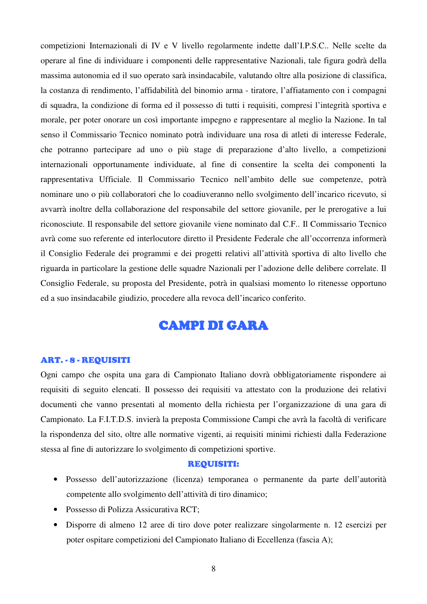competizioni Internazionali di IV e V livello regolarmente indette dall'I.P.S.C.. Nelle scelte da operare al fine di individuare i componenti delle rappresentative Nazionali, tale figura godrà della massima autonomia ed il suo operato sarà insindacabile, valutando oltre alla posizione di classifica, la costanza di rendimento, l'affidabilità del binomio arma - tiratore, l'affiatamento con i compagni di squadra, la condizione di forma ed il possesso di tutti i requisiti, compresi l'integrità sportiva e morale, per poter onorare un così importante impegno e rappresentare al meglio la Nazione. In tal senso il Commissario Tecnico nominato potrà individuare una rosa di atleti di interesse Federale, che potranno partecipare ad uno o più stage di preparazione d'alto livello, a competizioni internazionali opportunamente individuate, al fine di consentire la scelta dei componenti la rappresentativa Ufficiale. Il Commissario Tecnico nell'ambito delle sue competenze, potrà nominare uno o più collaboratori che lo coadiuveranno nello svolgimento dell'incarico ricevuto, si avvarrà inoltre della collaborazione del responsabile del settore giovanile, per le prerogative a lui riconosciute. Il responsabile del settore giovanile viene nominato dal C.F.. Il Commissario Tecnico avrà come suo referente ed interlocutore diretto il Presidente Federale che all'occorrenza informerà il Consiglio Federale dei programmi e dei progetti relativi all'attività sportiva di alto livello che riguarda in particolare la gestione delle squadre Nazionali per l'adozione delle delibere correlate. Il Consiglio Federale, su proposta del Presidente, potrà in qualsiasi momento lo ritenesse opportuno ed a suo insindacabile giudizio, procedere alla revoca dell'incarico conferito.

# **CAMPI DI GARA**

#### ART. - 8 - REQUISITI

Ogni campo che ospita una gara di Campionato Italiano dovrà obbligatoriamente rispondere ai requisiti di seguito elencati. Il possesso dei requisiti va attestato con la produzione dei relativi documenti che vanno presentati al momento della richiesta per l'organizzazione di una gara di Campionato. La F.I.T.D.S. invierà la preposta Commissione Campi che avrà la facoltà di verificare la rispondenza del sito, oltre alle normative vigenti, ai requisiti minimi richiesti dalla Federazione stessa al fine di autorizzare lo svolgimento di competizioni sportive.

#### REQUISITI:

- Possesso dell'autorizzazione (licenza) temporanea o permanente da parte dell'autorità competente allo svolgimento dell'attività di tiro dinamico;
- Possesso di Polizza Assicurativa RCT;
- Disporre di almeno 12 aree di tiro dove poter realizzare singolarmente n. 12 esercizi per poter ospitare competizioni del Campionato Italiano di Eccellenza (fascia A);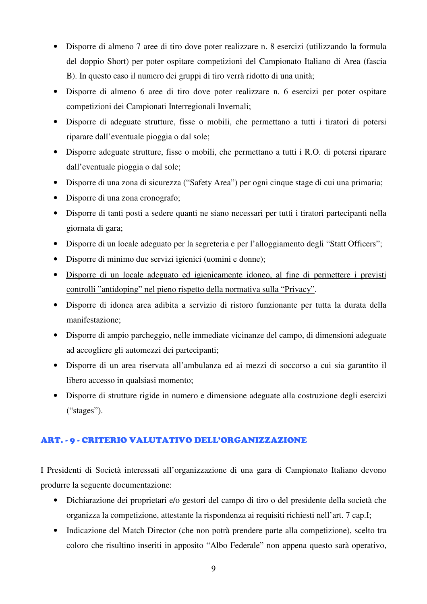- Disporre di almeno 7 aree di tiro dove poter realizzare n. 8 esercizi (utilizzando la formula del doppio Short) per poter ospitare competizioni del Campionato Italiano di Area (fascia B). In questo caso il numero dei gruppi di tiro verrà ridotto di una unità;
- Disporre di almeno 6 aree di tiro dove poter realizzare n. 6 esercizi per poter ospitare competizioni dei Campionati Interregionali Invernali;
- Disporre di adeguate strutture, fisse o mobili, che permettano a tutti i tiratori di potersi riparare dall'eventuale pioggia o dal sole;
- Disporre adeguate strutture, fisse o mobili, che permettano a tutti i R.O. di potersi riparare dall'eventuale pioggia o dal sole;
- Disporre di una zona di sicurezza ("Safety Area") per ogni cinque stage di cui una primaria;
- Disporre di una zona cronografo;
- Disporre di tanti posti a sedere quanti ne siano necessari per tutti i tiratori partecipanti nella giornata di gara;
- Disporre di un locale adeguato per la segreteria e per l'alloggiamento degli "Statt Officers";
- Disporre di minimo due servizi igienici (uomini e donne);
- Disporre di un locale adeguato ed igienicamente idoneo, al fine di permettere i previsti controlli "antidoping" nel pieno rispetto della normativa sulla "Privacy".
- Disporre di idonea area adibita a servizio di ristoro funzionante per tutta la durata della manifestazione;
- Disporre di ampio parcheggio, nelle immediate vicinanze del campo, di dimensioni adeguate ad accogliere gli automezzi dei partecipanti;
- Disporre di un area riservata all'ambulanza ed ai mezzi di soccorso a cui sia garantito il libero accesso in qualsiasi momento;
- Disporre di strutture rigide in numero e dimensione adeguate alla costruzione degli esercizi ("stages").

#### ART. - 9 - CRITERIO VALUTATIVO DELL'ORGANIZZAZIONE

I Presidenti di Società interessati all'organizzazione di una gara di Campionato Italiano devono produrre la seguente documentazione:

- Dichiarazione dei proprietari e/o gestori del campo di tiro o del presidente della società che organizza la competizione, attestante la rispondenza ai requisiti richiesti nell'art. 7 cap.I;
- Indicazione del Match Director (che non potrà prendere parte alla competizione), scelto tra coloro che risultino inseriti in apposito "Albo Federale" non appena questo sarà operativo,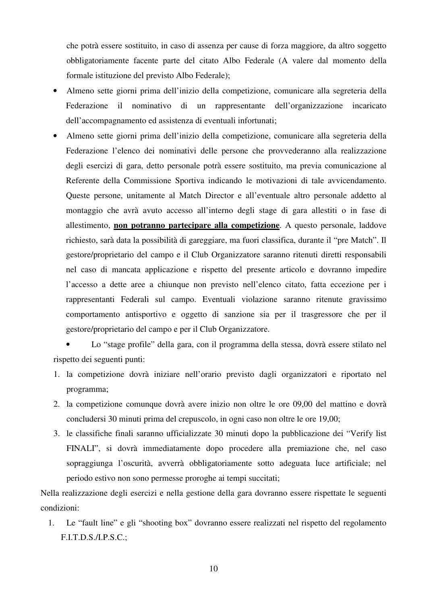che potrà essere sostituito, in caso di assenza per cause di forza maggiore, da altro soggetto obbligatoriamente facente parte del citato Albo Federale (A valere dal momento della formale istituzione del previsto Albo Federale);

- Almeno sette giorni prima dell'inizio della competizione, comunicare alla segreteria della Federazione il nominativo di un rappresentante dell'organizzazione incaricato dell'accompagnamento ed assistenza di eventuali infortunati;
- Almeno sette giorni prima dell'inizio della competizione, comunicare alla segreteria della Federazione l'elenco dei nominativi delle persone che provvederanno alla realizzazione degli esercizi di gara, detto personale potrà essere sostituito, ma previa comunicazione al Referente della Commissione Sportiva indicando le motivazioni di tale avvicendamento. Queste persone, unitamente al Match Director e all'eventuale altro personale addetto al montaggio che avrà avuto accesso all'interno degli stage di gara allestiti o in fase di allestimento, **non potranno partecipare alla competizione**. A questo personale, laddove richiesto, sarà data la possibilità di gareggiare, ma fuori classifica, durante il "pre Match". Il gestore/proprietario del campo e il Club Organizzatore saranno ritenuti diretti responsabili nel caso di mancata applicazione e rispetto del presente articolo e dovranno impedire l'accesso a dette aree a chiunque non previsto nell'elenco citato, fatta eccezione per i rappresentanti Federali sul campo. Eventuali violazione saranno ritenute gravissimo comportamento antisportivo e oggetto di sanzione sia per il trasgressore che per il gestore/proprietario del campo e per il Club Organizzatore.

• Lo "stage profile" della gara, con il programma della stessa, dovrà essere stilato nel rispetto dei seguenti punti:

- 1. la competizione dovrà iniziare nell'orario previsto dagli organizzatori e riportato nel programma;
- 2. la competizione comunque dovrà avere inizio non oltre le ore 09,00 del mattino e dovrà concludersi 30 minuti prima del crepuscolo, in ogni caso non oltre le ore 19,00;
- 3. le classifiche finali saranno ufficializzate 30 minuti dopo la pubblicazione dei "Verify list FINALI", si dovrà immediatamente dopo procedere alla premiazione che, nel caso sopraggiunga l'oscurità, avverrà obbligatoriamente sotto adeguata luce artificiale; nel periodo estivo non sono permesse proroghe ai tempi succitati;

Nella realizzazione degli esercizi e nella gestione della gara dovranno essere rispettate le seguenti condizioni:

1. Le "fault line" e gli "shooting box" dovranno essere realizzati nel rispetto del regolamento F.I.T.D.S./I.P.S.C.;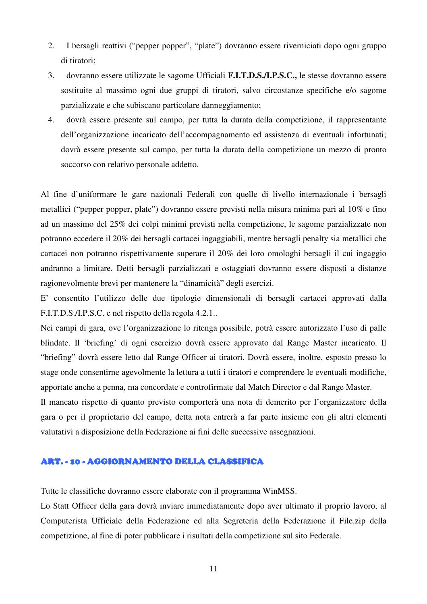- 2. I bersagli reattivi ("pepper popper", "plate") dovranno essere riverniciati dopo ogni gruppo di tiratori;
- 3. dovranno essere utilizzate le sagome Ufficiali **F.I.T.D.S./I.P.S.C.,** le stesse dovranno essere sostituite al massimo ogni due gruppi di tiratori, salvo circostanze specifiche e/o sagome parzializzate e che subiscano particolare danneggiamento;
- 4. dovrà essere presente sul campo, per tutta la durata della competizione, il rappresentante dell'organizzazione incaricato dell'accompagnamento ed assistenza di eventuali infortunati; dovrà essere presente sul campo, per tutta la durata della competizione un mezzo di pronto soccorso con relativo personale addetto.

Al fine d'uniformare le gare nazionali Federali con quelle di livello internazionale i bersagli metallici ("pepper popper, plate") dovranno essere previsti nella misura minima pari al 10% e fino ad un massimo del 25% dei colpi minimi previsti nella competizione, le sagome parzializzate non potranno eccedere il 20% dei bersagli cartacei ingaggiabili, mentre bersagli penalty sia metallici che cartacei non potranno rispettivamente superare il 20% dei loro omologhi bersagli il cui ingaggio andranno a limitare. Detti bersagli parzializzati e ostaggiati dovranno essere disposti a distanze ragionevolmente brevi per mantenere la "dinamicità" degli esercizi.

E' consentito l'utilizzo delle due tipologie dimensionali di bersagli cartacei approvati dalla F.I.T.D.S./I.P.S.C. e nel rispetto della regola 4.2.1..

Nei campi di gara, ove l'organizzazione lo ritenga possibile, potrà essere autorizzato l'uso di palle blindate. Il 'briefing' di ogni esercizio dovrà essere approvato dal Range Master incaricato. Il "briefing" dovrà essere letto dal Range Officer ai tiratori. Dovrà essere, inoltre, esposto presso lo stage onde consentirne agevolmente la lettura a tutti i tiratori e comprendere le eventuali modifiche, apportate anche a penna, ma concordate e controfirmate dal Match Director e dal Range Master.

Il mancato rispetto di quanto previsto comporterà una nota di demerito per l'organizzatore della gara o per il proprietario del campo, detta nota entrerà a far parte insieme con gli altri elementi valutativi a disposizione della Federazione ai fini delle successive assegnazioni.

#### ART. - 10 - AGGIORNAMENTO DELLA CLASSIFICA

Tutte le classifiche dovranno essere elaborate con il programma WinMSS.

Lo Statt Officer della gara dovrà inviare immediatamente dopo aver ultimato il proprio lavoro, al Computerista Ufficiale della Federazione ed alla Segreteria della Federazione il File.zip della competizione, al fine di poter pubblicare i risultati della competizione sul sito Federale.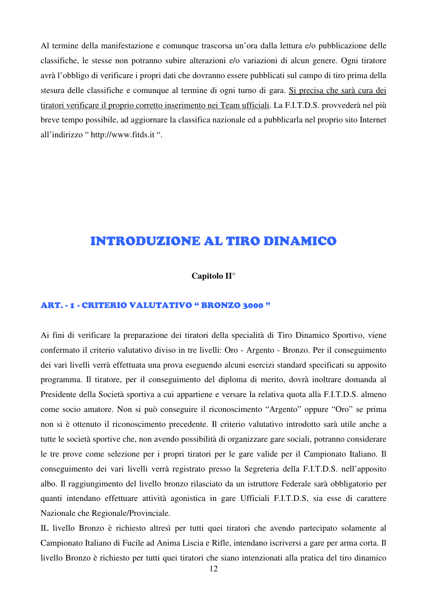Al termine della manifestazione e comunque trascorsa un'ora dalla lettura e/o pubblicazione delle classifiche, le stesse non potranno subire alterazioni e/o variazioni di alcun genere. Ogni tiratore avrà l'obbligo di verificare i propri dati che dovranno essere pubblicati sul campo di tiro prima della stesura delle classifiche e comunque al termine di ogni turno di gara. Si precisa che sarà cura dei tiratori verificare il proprio corretto inserimento nei Team ufficiali. La F.I.T.D.S. provvederà nel più breve tempo possibile, ad aggiornare la classifica nazionale ed a pubblicarla nel proprio sito Internet all'indirizzo " http://www.fitds.it ".

# INTRODUZIONE AL TIRO DINAMICO

#### **Capitolo II°**

### ART. - 1 - CRITERIO VALUTATIVO " BRONZO 3000 "

Ai fini di verificare la preparazione dei tiratori della specialità di Tiro Dinamico Sportivo, viene confermato il criterio valutativo diviso in tre livelli: Oro - Argento - Bronzo. Per il conseguimento dei vari livelli verrà effettuata una prova eseguendo alcuni esercizi standard specificati su apposito programma. Il tiratore, per il conseguimento del diploma di merito, dovrà inoltrare domanda al Presidente della Società sportiva a cui appartiene e versare la relativa quota alla F.I.T.D.S. almeno come socio amatore. Non si può conseguire il riconoscimento "Argento" oppure "Oro" se prima non si è ottenuto il riconoscimento precedente. Il criterio valutativo introdotto sarà utile anche a tutte le società sportive che, non avendo possibilità di organizzare gare sociali, potranno considerare le tre prove come selezione per i propri tiratori per le gare valide per il Campionato Italiano. Il conseguimento dei vari livelli verrà registrato presso la Segreteria della F.I.T.D.S. nell'apposito albo. Il raggiungimento del livello bronzo rilasciato da un istruttore Federale sarà obbligatorio per quanti intendano effettuare attività agonistica in gare Ufficiali F.I.T.D.S, sia esse di carattere Nazionale che Regionale/Provinciale.

IL livello Bronzo è richiesto altresì per tutti quei tiratori che avendo partecipato solamente al Campionato Italiano di Fucile ad Anima Liscia e Rifle, intendano iscriversi a gare per arma corta. Il livello Bronzo è richiesto per tutti quei tiratori che siano intenzionati alla pratica del tiro dinamico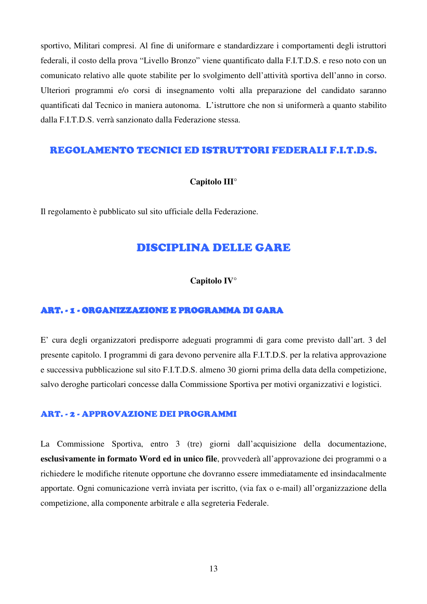sportivo, Militari compresi. Al fine di uniformare e standardizzare i comportamenti degli istruttori federali, il costo della prova "Livello Bronzo" viene quantificato dalla F.I.T.D.S. e reso noto con un comunicato relativo alle quote stabilite per lo svolgimento dell'attività sportiva dell'anno in corso. Ulteriori programmi e/o corsi di insegnamento volti alla preparazione del candidato saranno quantificati dal Tecnico in maniera autonoma. L'istruttore che non si uniformerà a quanto stabilito dalla F.I.T.D.S. verrà sanzionato dalla Federazione stessa.

#### REGOLAMENTO TECNICI ED ISTRUTTORI FEDERALI F.I.T.D.S.

#### **Capitolo III°**

Il regolamento è pubblicato sul sito ufficiale della Federazione.

### DISCIPLINA DELLE GARE

#### **Capitolo IV°**

#### ART. - 1 - ORGANIZZAZIONE E PROGRAMMA DI GARA

E' cura degli organizzatori predisporre adeguati programmi di gara come previsto dall'art. 3 del presente capitolo. I programmi di gara devono pervenire alla F.I.T.D.S. per la relativa approvazione e successiva pubblicazione sul sito F.I.T.D.S. almeno 30 giorni prima della data della competizione, salvo deroghe particolari concesse dalla Commissione Sportiva per motivi organizzativi e logistici.

#### ART. - 2 - APPROVAZIONE DEI PROGRAMMI

La Commissione Sportiva, entro 3 (tre) giorni dall'acquisizione della documentazione, **esclusivamente in formato Word ed in unico file**, provvederà all'approvazione dei programmi o a richiedere le modifiche ritenute opportune che dovranno essere immediatamente ed insindacalmente apportate. Ogni comunicazione verrà inviata per iscritto, (via fax o e-mail) all'organizzazione della competizione, alla componente arbitrale e alla segreteria Federale.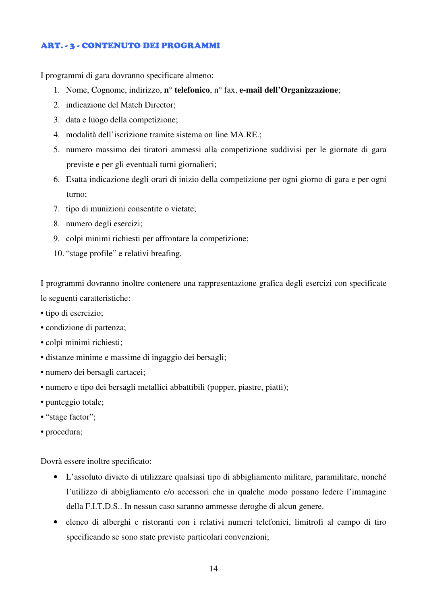#### ART. - 3 - CONTENUTO DEI PROGRAMMI

I programmi di gara dovranno specificare almeno:

- 1. Nome, Cognome, indirizzo, **n° telefonico**, n° fax, **e-mail dell'Organizzazione**;
- 2. indicazione del Match Director;
- 3. data e luogo della competizione;
- 4. modalità dell'iscrizione tramite sistema on line MA.RE.;
- 5. numero massimo dei tiratori ammessi alla competizione suddivisi per le giornate di gara previste e per gli eventuali turni giornalieri;
- 6. Esatta indicazione degli orari di inizio della competizione per ogni giorno di gara e per ogni turno;
- 7. tipo di munizioni consentite o vietate;
- 8. numero degli esercizi;
- 9. colpi minimi richiesti per affrontare la competizione;
- 10. "stage profile" e relativi breafing.

I programmi dovranno inoltre contenere una rappresentazione grafica degli esercizi con specificate le seguenti caratteristiche:

- tipo di esercizio;
- condizione di partenza;
- colpi minimi richiesti;
- distanze minime e massime di ingaggio dei bersagli;
- numero dei bersagli cartacei;
- numero e tipo dei bersagli metallici abbattibili (popper, piastre, piatti);
- punteggio totale;
- "stage factor";
- procedura;

Dovrà essere inoltre specificato:

- L'assoluto divieto di utilizzare qualsiasi tipo di abbigliamento militare, paramilitare, nonché l'utilizzo di abbigliamento e/o accessori che in qualche modo possano ledere l'immagine della F.I.T.D.S.. In nessun caso saranno ammesse deroghe di alcun genere.
- elenco di alberghi e ristoranti con i relativi numeri telefonici, limitrofi al campo di tiro specificando se sono state previste particolari convenzioni;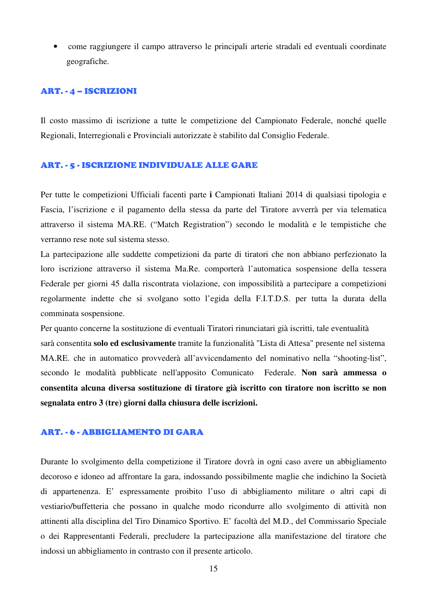• come raggiungere il campo attraverso le principali arterie stradali ed eventuali coordinate geografiche.

#### ART. - 4 – ISCRIZIONI

Il costo massimo di iscrizione a tutte le competizione del Campionato Federale, nonché quelle Regionali, Interregionali e Provinciali autorizzate è stabilito dal Consiglio Federale.

#### ART. - 5 - ISCRIZIONE INDIVIDUALE ALLE GARE

Per tutte le competizioni Ufficiali facenti parte **i** Campionati Italiani 2014 di qualsiasi tipologia e Fascia, l'iscrizione e il pagamento della stessa da parte del Tiratore avverrà per via telematica attraverso il sistema MA.RE. ("Match Registration") secondo le modalità e le tempistiche che verranno rese note sul sistema stesso.

La partecipazione alle suddette competizioni da parte di tiratori che non abbiano perfezionato la loro iscrizione attraverso il sistema Ma.Re. comporterà l'automatica sospensione della tessera Federale per giorni 45 dalla riscontrata violazione, con impossibilità a partecipare a competizioni regolarmente indette che si svolgano sotto l'egida della F.I.T.D.S. per tutta la durata della comminata sospensione.

Per quanto concerne la sostituzione di eventuali Tiratori rinunciatari già iscritti, tale eventualità sarà consentita **solo ed esclusivamente** tramite la funzionalità "Lista di Attesa" presente nel sistema MA.RE. che in automatico provvederà all'avvicendamento del nominativo nella "shooting-list", secondo le modalità pubblicate nell'apposito Comunicato Federale. **Non sarà ammessa o consentita alcuna diversa sostituzione di tiratore già iscritto con tiratore non iscritto se non segnalata entro 3 (tre) giorni dalla chiusura delle iscrizioni.**

#### ART. - 6 - ABBIGLIAMENTO DI GARA

Durante lo svolgimento della competizione il Tiratore dovrà in ogni caso avere un abbigliamento decoroso e idoneo ad affrontare la gara, indossando possibilmente maglie che indichino la Società di appartenenza. E' espressamente proibito l'uso di abbigliamento militare o altri capi di vestiario/buffetteria che possano in qualche modo ricondurre allo svolgimento di attività non attinenti alla disciplina del Tiro Dinamico Sportivo. E' facoltà del M.D., del Commissario Speciale o dei Rappresentanti Federali, precludere la partecipazione alla manifestazione del tiratore che indossi un abbigliamento in contrasto con il presente articolo.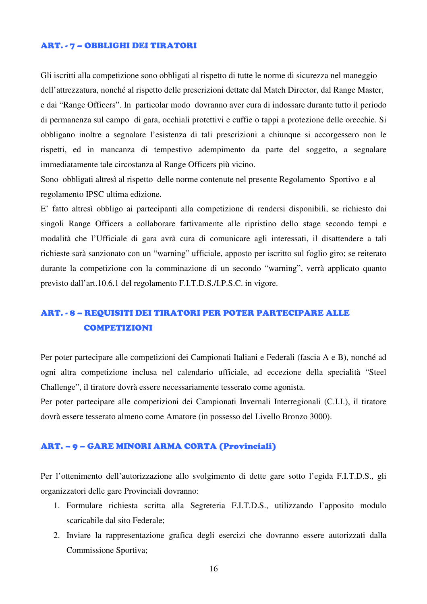#### ART. - 7 – OBBLIGHI DEI TIRATORI

Gli iscritti alla competizione sono obbligati al rispetto di tutte le norme di sicurezza nel maneggio dell'attrezzatura, nonché al rispetto delle prescrizioni dettate dal Match Director, dal Range Master, e dai "Range Officers". In particolar modo dovranno aver cura di indossare durante tutto il periodo di permanenza sul campo di gara, occhiali protettivi e cuffie o tappi a protezione delle orecchie. Si obbligano inoltre a segnalare l'esistenza di tali prescrizioni a chiunque si accorgessero non le rispetti, ed in mancanza di tempestivo adempimento da parte del soggetto, a segnalare immediatamente tale circostanza al Range Officers più vicino.

Sono obbligati altresì al rispetto delle norme contenute nel presente Regolamento Sportivo e al regolamento IPSC ultima edizione.

E' fatto altresì obbligo ai partecipanti alla competizione di rendersi disponibili, se richiesto dai singoli Range Officers a collaborare fattivamente alle ripristino dello stage secondo tempi e modalità che l'Ufficiale di gara avrà cura di comunicare agli interessati, il disattendere a tali richieste sarà sanzionato con un "warning" ufficiale, apposto per iscritto sul foglio giro; se reiterato durante la competizione con la comminazione di un secondo "warning", verrà applicato quanto previsto dall'art.10.6.1 del regolamento F.I.T.D.S./I.P.S.C. in vigore.

# ART. - 8 – REQUISITI DEI TIRATORI PER POTER PARTECIPARE ALLE COMPETIZIONI

Per poter partecipare alle competizioni dei Campionati Italiani e Federali (fascia A e B), nonché ad ogni altra competizione inclusa nel calendario ufficiale, ad eccezione della specialità "Steel Challenge", il tiratore dovrà essere necessariamente tesserato come agonista.

Per poter partecipare alle competizioni dei Campionati Invernali Interregionali (C.I.I.), il tiratore dovrà essere tesserato almeno come Amatore (in possesso del Livello Bronzo 3000).

#### ART. – 9 – GARE MINORI ARMA CORTA (Provinciali)

Per l'ottenimento dell'autorizzazione allo svolgimento di dette gare sotto l'egida F.I.T.D.S., gli organizzatori delle gare Provinciali dovranno:

- 1. Formulare richiesta scritta alla Segreteria F.I.T.D.S., utilizzando l'apposito modulo scaricabile dal sito Federale;
- 2. Inviare la rappresentazione grafica degli esercizi che dovranno essere autorizzati dalla Commissione Sportiva;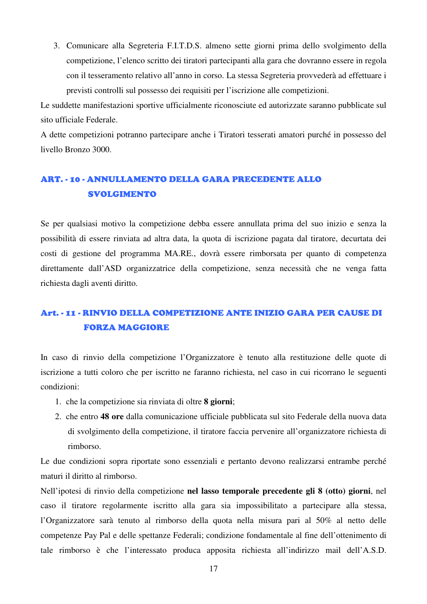3. Comunicare alla Segreteria F.I.T.D.S. almeno sette giorni prima dello svolgimento della competizione, l'elenco scritto dei tiratori partecipanti alla gara che dovranno essere in regola con il tesseramento relativo all'anno in corso. La stessa Segreteria provvederà ad effettuare i previsti controlli sul possesso dei requisiti per l'iscrizione alle competizioni.

Le suddette manifestazioni sportive ufficialmente riconosciute ed autorizzate saranno pubblicate sul sito ufficiale Federale.

A dette competizioni potranno partecipare anche i Tiratori tesserati amatori purché in possesso del livello Bronzo 3000.

# ART. - 10 - ANNULLAMENTO DELLA GARA PRECEDENTE ALLO SVOLGIMENTO

Se per qualsiasi motivo la competizione debba essere annullata prima del suo inizio e senza la possibilità di essere rinviata ad altra data, la quota di iscrizione pagata dal tiratore, decurtata dei costi di gestione del programma MA.RE., dovrà essere rimborsata per quanto di competenza direttamente dall'ASD organizzatrice della competizione, senza necessità che ne venga fatta richiesta dagli aventi diritto.

# Art. - 11 - RINVIO DELLA COMPETIZIONE ANTE INIZIO GARA PER CAUSE DI FORZA MAGGIORE

In caso di rinvio della competizione l'Organizzatore è tenuto alla restituzione delle quote di iscrizione a tutti coloro che per iscritto ne faranno richiesta, nel caso in cui ricorrano le seguenti condizioni:

- 1. che la competizione sia rinviata di oltre **8 giorni**;
- 2. che entro **48 ore** dalla comunicazione ufficiale pubblicata sul sito Federale della nuova data di svolgimento della competizione, il tiratore faccia pervenire all'organizzatore richiesta di rimborso.

Le due condizioni sopra riportate sono essenziali e pertanto devono realizzarsi entrambe perché maturi il diritto al rimborso.

Nell'ipotesi di rinvio della competizione **nel lasso temporale precedente gli 8 (otto) giorni**, nel caso il tiratore regolarmente iscritto alla gara sia impossibilitato a partecipare alla stessa, l'Organizzatore sarà tenuto al rimborso della quota nella misura pari al 50% al netto delle competenze Pay Pal e delle spettanze Federali; condizione fondamentale al fine dell'ottenimento di tale rimborso è che l'interessato produca apposita richiesta all'indirizzo mail dell'A.S.D.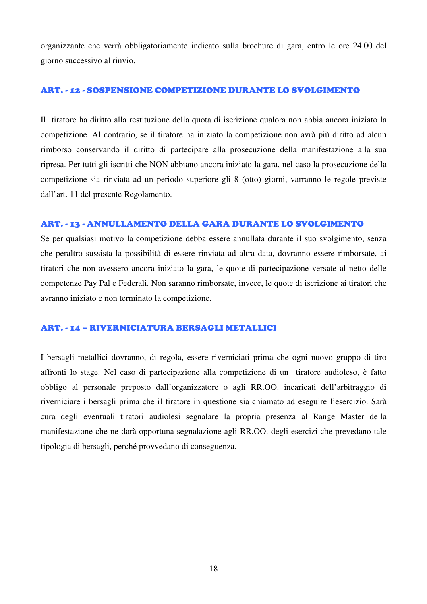organizzante che verrà obbligatoriamente indicato sulla brochure di gara, entro le ore 24.00 del giorno successivo al rinvio.

#### ART. - 12 - SOSPENSIONE COMPETIZIONE DURANTE LO SVOLGIMENTO

Il tiratore ha diritto alla restituzione della quota di iscrizione qualora non abbia ancora iniziato la competizione. Al contrario, se il tiratore ha iniziato la competizione non avrà più diritto ad alcun rimborso conservando il diritto di partecipare alla prosecuzione della manifestazione alla sua ripresa. Per tutti gli iscritti che NON abbiano ancora iniziato la gara, nel caso la prosecuzione della competizione sia rinviata ad un periodo superiore gli 8 (otto) giorni, varranno le regole previste dall'art. 11 del presente Regolamento.

#### ART. - 13 - ANNULLAMENTO DELLA GARA DURANTE LO SVOLGIMENTO

Se per qualsiasi motivo la competizione debba essere annullata durante il suo svolgimento, senza che peraltro sussista la possibilità di essere rinviata ad altra data, dovranno essere rimborsate, ai tiratori che non avessero ancora iniziato la gara, le quote di partecipazione versate al netto delle competenze Pay Pal e Federali. Non saranno rimborsate, invece, le quote di iscrizione ai tiratori che avranno iniziato e non terminato la competizione.

#### ART. - 14 – RIVERNICIATURA BERSAGLI METALLICI

I bersagli metallici dovranno, di regola, essere riverniciati prima che ogni nuovo gruppo di tiro affronti lo stage. Nel caso di partecipazione alla competizione di un tiratore audioleso, è fatto obbligo al personale preposto dall'organizzatore o agli RR.OO. incaricati dell'arbitraggio di riverniciare i bersagli prima che il tiratore in questione sia chiamato ad eseguire l'esercizio. Sarà cura degli eventuali tiratori audiolesi segnalare la propria presenza al Range Master della manifestazione che ne darà opportuna segnalazione agli RR.OO. degli esercizi che prevedano tale tipologia di bersagli, perché provvedano di conseguenza.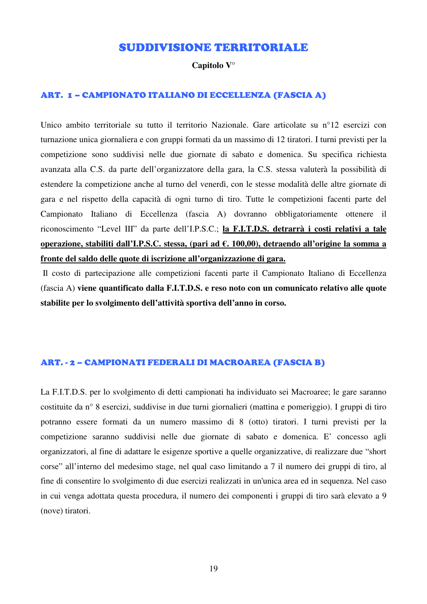### SUDDIVISIONE TERRITORIALE

#### **Capitolo V°**

#### ART. 1 – CAMPIONATO ITALIANO DI ECCELLENZA (FASCIA A)

Unico ambito territoriale su tutto il territorio Nazionale. Gare articolate su n°12 esercizi con turnazione unica giornaliera e con gruppi formati da un massimo di 12 tiratori. I turni previsti per la competizione sono suddivisi nelle due giornate di sabato e domenica. Su specifica richiesta avanzata alla C.S. da parte dell'organizzatore della gara, la C.S. stessa valuterà la possibilità di estendere la competizione anche al turno del venerdì, con le stesse modalità delle altre giornate di gara e nel rispetto della capacità di ogni turno di tiro. Tutte le competizioni facenti parte del Campionato Italiano di Eccellenza (fascia A) dovranno obbligatoriamente ottenere il riconoscimento "Level III" da parte dell'I.P.S.C.; **la F.I.T.D.S. detrarrà i costi relativi a tale operazione, stabiliti dall'I.P.S.C. stessa, (pari ad €. 100,00), detraendo all'origine la somma a fronte del saldo delle quote di iscrizione all'organizzazione di gara.**

 Il costo di partecipazione alle competizioni facenti parte il Campionato Italiano di Eccellenza (fascia A) **viene quantificato dalla F.I.T.D.S. e reso noto con un comunicato relativo alle quote stabilite per lo svolgimento dell'attività sportiva dell'anno in corso.**

#### ART. - 2 – CAMPIONATI FEDERALI DI MACROAREA (FASCIA B)

La F.I.T.D.S. per lo svolgimento di detti campionati ha individuato sei Macroaree; le gare saranno costituite da n° 8 esercizi, suddivise in due turni giornalieri (mattina e pomeriggio). I gruppi di tiro potranno essere formati da un numero massimo di 8 (otto) tiratori. I turni previsti per la competizione saranno suddivisi nelle due giornate di sabato e domenica. E' concesso agli organizzatori, al fine di adattare le esigenze sportive a quelle organizzative, di realizzare due "short corse" all'interno del medesimo stage, nel qual caso limitando a 7 il numero dei gruppi di tiro, al fine di consentire lo svolgimento di due esercizi realizzati in un'unica area ed in sequenza. Nel caso in cui venga adottata questa procedura, il numero dei componenti i gruppi di tiro sarà elevato a 9 (nove) tiratori.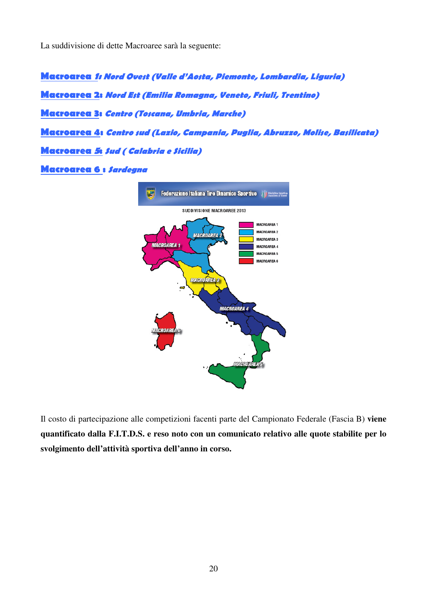La suddivisione di dette Macroaree sarà la seguente:

Macroarea 1: Nord Ovest (Valle d'Aosta, Piemonte, Lombardia, Liguria) Macroarea 2: Nord Est (Emilia Romagna, Veneto, Friuli, Trentino) Macroarea 3: Centro (Toscana, Umbria, Marche) Macroarea 4: Centro sud (Lazio, Campania, Puglia, Abruzzo, Molise, Basilicata) **Macroarea 5: Sud ( Calabria e Sicilia)** Macroarea 6 : Sardegna



Il costo di partecipazione alle competizioni facenti parte del Campionato Federale (Fascia B) **viene quantificato dalla F.I.T.D.S. e reso noto con un comunicato relativo alle quote stabilite per lo svolgimento dell'attività sportiva dell'anno in corso.**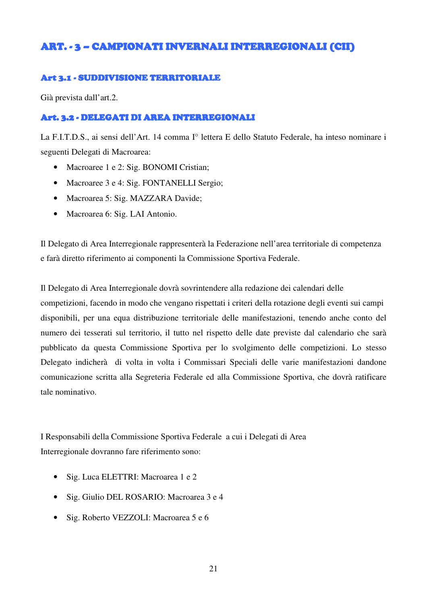## ART. - 3 - CAMPIONATI INVERNALI INTERREGIONALI (CII)

#### Art 3.1 - SUDDIVISIONE TERRITORIALE

Già prevista dall'art.2.

#### Art. 3.2 - DELEGATI DI AREA INTERREGIONALI

La F.I.T.D.S., ai sensi dell'Art. 14 comma I° lettera E dello Statuto Federale, ha inteso nominare i seguenti Delegati di Macroarea:

- Macroaree 1 e 2: Sig. BONOMI Cristian;
- Macroaree 3 e 4: Sig. FONTANELLI Sergio;
- Macroarea 5: Sig. MAZZARA Davide;
- Macroarea 6: Sig. LAI Antonio.

Il Delegato di Area Interregionale rappresenterà la Federazione nell'area territoriale di competenza e farà diretto riferimento ai componenti la Commissione Sportiva Federale.

Il Delegato di Area Interregionale dovrà sovrintendere alla redazione dei calendari delle competizioni, facendo in modo che vengano rispettati i criteri della rotazione degli eventi sui campi disponibili, per una equa distribuzione territoriale delle manifestazioni, tenendo anche conto del numero dei tesserati sul territorio, il tutto nel rispetto delle date previste dal calendario che sarà pubblicato da questa Commissione Sportiva per lo svolgimento delle competizioni. Lo stesso Delegato indicherà di volta in volta i Commissari Speciali delle varie manifestazioni dandone comunicazione scritta alla Segreteria Federale ed alla Commissione Sportiva, che dovrà ratificare tale nominativo.

I Responsabili della Commissione Sportiva Federale a cui i Delegati di Area Interregionale dovranno fare riferimento sono:

- Sig. Luca ELETTRI: Macroarea 1 e 2
- Sig. Giulio DEL ROSARIO: Macroarea 3 e 4
- Sig. Roberto VEZZOLI: Macroarea 5 e 6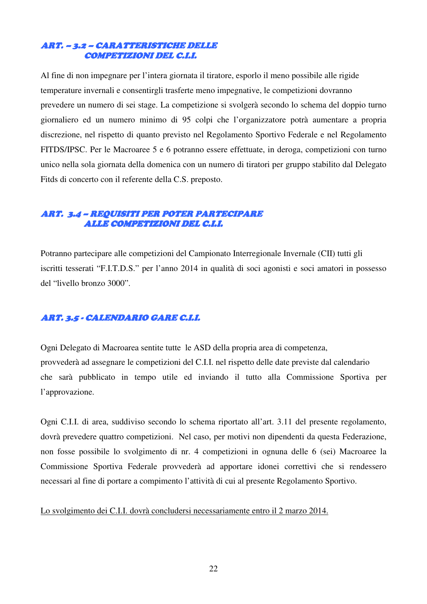#### ART. – 3.2– CARATTERISTICHE DELLE CARATTERISTICHE DELLE CARATTERISTICHE DELLE COMPETIZIONI DEL C.I.I.

Al fine di non impegnare per l'intera giornata il tiratore, esporlo il meno possibile alle rigide temperature invernali e consentirgli trasferte meno impegnative, le competizioni dovranno prevedere un numero di sei stage. La competizione si svolgerà secondo lo schema del doppio turno giornaliero ed un numero minimo di 95 colpi che l'organizzatore potrà aumentare a propria discrezione, nel rispetto di quanto previsto nel Regolamento Sportivo Federale e nel Regolamento FITDS/IPSC. Per le Macroaree 5 e 6 potranno essere effettuate, in deroga, competizioni con turno unico nella sola giornata della domenica con un numero di tiratori per gruppo stabilito dal Delegato Fitds di concerto con il referente della C.S. preposto.

#### ART. 3.4 – REQUISITI PER POTER PARTECIPARE REQUISITI PER POTER PARTECIPARE PARTECIPARE ALLE COMPETIZIONI DEL C.I.I.

Potranno partecipare alle competizioni del Campionato Interregionale Invernale (CII) tutti gli iscritti tesserati "F.I.T.D.S." per l'anno 2014 in qualità di soci agonisti e soci amatori in possesso del "livello bronzo 3000".

### ART. 3.5 - CALENDARIO GARE C.I.I.

Ogni Delegato di Macroarea sentite tutte le ASD della propria area di competenza, provvederà ad assegnare le competizioni del C.I.I. nel rispetto delle date previste dal calendario che sarà pubblicato in tempo utile ed inviando il tutto alla Commissione Sportiva per l'approvazione.

Ogni C.I.I. di area, suddiviso secondo lo schema riportato all'art. 3.11 del presente regolamento, dovrà prevedere quattro competizioni. Nel caso, per motivi non dipendenti da questa Federazione, non fosse possibile lo svolgimento di nr. 4 competizioni in ognuna delle 6 (sei) Macroaree la Commissione Sportiva Federale provvederà ad apportare idonei correttivi che si rendessero necessari al fine di portare a compimento l'attività di cui al presente Regolamento Sportivo.

#### Lo svolgimento dei C.I.I. dovrà concludersi necessariamente entro il 2 marzo 2014.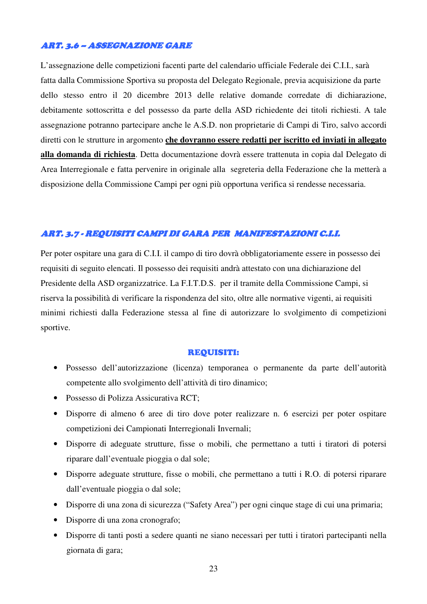#### ART. 3.6 – ASSEGNAZIONE GARE

L'assegnazione delle competizioni facenti parte del calendario ufficiale Federale dei C.I.I., sarà fatta dalla Commissione Sportiva su proposta del Delegato Regionale, previa acquisizione da parte dello stesso entro il 20 dicembre 2013 delle relative domande corredate di dichiarazione, debitamente sottoscritta e del possesso da parte della ASD richiedente dei titoli richiesti. A tale assegnazione potranno partecipare anche le A.S.D. non proprietarie di Campi di Tiro, salvo accordi diretti con le strutture in argomento **che dovranno essere redatti per iscritto ed inviati in allegato alla domanda di richiesta**. Detta documentazione dovrà essere trattenuta in copia dal Delegato di Area Interregionale e fatta pervenire in originale alla segreteria della Federazione che la metterà a disposizione della Commissione Campi per ogni più opportuna verifica si rendesse necessaria.

#### ART. 3.7 - REQUISITI CAMPI DI GARA PER MANIFESTAZIONI C.I.I.

Per poter ospitare una gara di C.I.I. il campo di tiro dovrà obbligatoriamente essere in possesso dei requisiti di seguito elencati. Il possesso dei requisiti andrà attestato con una dichiarazione del Presidente della ASD organizzatrice. La F.I.T.D.S. per il tramite della Commissione Campi, si riserva la possibilità di verificare la rispondenza del sito, oltre alle normative vigenti, ai requisiti minimi richiesti dalla Federazione stessa al fine di autorizzare lo svolgimento di competizioni sportive.

#### REQUISITI:

- Possesso dell'autorizzazione (licenza) temporanea o permanente da parte dell'autorità competente allo svolgimento dell'attività di tiro dinamico;
- Possesso di Polizza Assicurativa RCT;
- Disporre di almeno 6 aree di tiro dove poter realizzare n. 6 esercizi per poter ospitare competizioni dei Campionati Interregionali Invernali;
- Disporre di adeguate strutture, fisse o mobili, che permettano a tutti i tiratori di potersi riparare dall'eventuale pioggia o dal sole;
- Disporre adeguate strutture, fisse o mobili, che permettano a tutti i R.O. di potersi riparare dall'eventuale pioggia o dal sole;
- Disporre di una zona di sicurezza ("Safety Area") per ogni cinque stage di cui una primaria;
- Disporre di una zona cronografo;
- Disporre di tanti posti a sedere quanti ne siano necessari per tutti i tiratori partecipanti nella giornata di gara;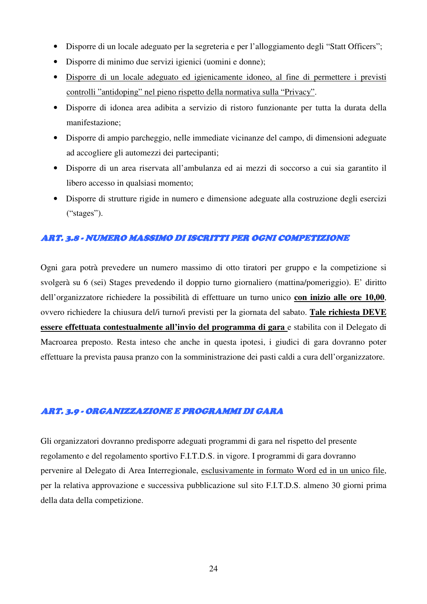- Disporre di un locale adeguato per la segreteria e per l'alloggiamento degli "Statt Officers";
- Disporre di minimo due servizi igienici (uomini e donne);
- Disporre di un locale adeguato ed igienicamente idoneo, al fine di permettere i previsti controlli "antidoping" nel pieno rispetto della normativa sulla "Privacy".
- Disporre di idonea area adibita a servizio di ristoro funzionante per tutta la durata della manifestazione;
- Disporre di ampio parcheggio, nelle immediate vicinanze del campo, di dimensioni adeguate ad accogliere gli automezzi dei partecipanti;
- Disporre di un area riservata all'ambulanza ed ai mezzi di soccorso a cui sia garantito il libero accesso in qualsiasi momento;
- Disporre di strutture rigide in numero e dimensione adeguate alla costruzione degli esercizi ("stages").

#### ART. 3.8 - NUMERO MASSIMO DI ISCRITTI PER OGNI COMPETIZIONE

Ogni gara potrà prevedere un numero massimo di otto tiratori per gruppo e la competizione si svolgerà su 6 (sei) Stages prevedendo il doppio turno giornaliero (mattina/pomeriggio). E' diritto dell'organizzatore richiedere la possibilità di effettuare un turno unico **con inizio alle ore 10,00**, ovvero richiedere la chiusura del/i turno/i previsti per la giornata del sabato. **Tale richiesta DEVE essere effettuata contestualmente all'invio del programma di gara** e stabilita con il Delegato di Macroarea preposto. Resta inteso che anche in questa ipotesi, i giudici di gara dovranno poter effettuare la prevista pausa pranzo con la somministrazione dei pasti caldi a cura dell'organizzatore.

#### ART. 3.9 - ORGANIZZAZIONE E PROGRAMMI DI GARA

Gli organizzatori dovranno predisporre adeguati programmi di gara nel rispetto del presente regolamento e del regolamento sportivo F.I.T.D.S. in vigore. I programmi di gara dovranno pervenire al Delegato di Area Interregionale, esclusivamente in formato Word ed in un unico file, per la relativa approvazione e successiva pubblicazione sul sito F.I.T.D.S. almeno 30 giorni prima della data della competizione.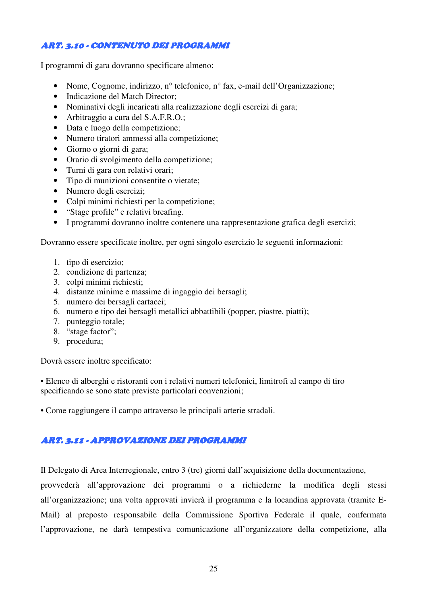### ART. 3.10 - CONTENUTO DEI PROGRAMMI

I programmi di gara dovranno specificare almeno:

- Nome, Cognome, indirizzo, n° telefonico, n° fax, e-mail dell'Organizzazione;
- Indicazione del Match Director:
- Nominativi degli incaricati alla realizzazione degli esercizi di gara;
- Arbitraggio a cura del S.A.F.R.O.;
- Data e luogo della competizione;
- Numero tiratori ammessi alla competizione;
- Giorno o giorni di gara;
- Orario di svolgimento della competizione;
- Turni di gara con relativi orari;
- Tipo di munizioni consentite o vietate;
- Numero degli esercizi;
- Colpi minimi richiesti per la competizione;
- "Stage profile" e relativi breafing.
- I programmi dovranno inoltre contenere una rappresentazione grafica degli esercizi;

Dovranno essere specificate inoltre, per ogni singolo esercizio le seguenti informazioni:

- 1. tipo di esercizio;
- 2. condizione di partenza;
- 3. colpi minimi richiesti;
- 4. distanze minime e massime di ingaggio dei bersagli;
- 5. numero dei bersagli cartacei;
- 6. numero e tipo dei bersagli metallici abbattibili (popper, piastre, piatti);
- 7. punteggio totale;
- 8. "stage factor";
- 9. procedura;

Dovrà essere inoltre specificato:

• Elenco di alberghi e ristoranti con i relativi numeri telefonici, limitrofi al campo di tiro specificando se sono state previste particolari convenzioni;

• Come raggiungere il campo attraverso le principali arterie stradali.

#### ART. 3.11 - APPROVAZIONE DEI PROGRAMMI

Il Delegato di Area Interregionale, entro 3 (tre) giorni dall'acquisizione della documentazione,

provvederà all'approvazione dei programmi o a richiederne la modifica degli stessi all'organizzazione; una volta approvati invierà il programma e la locandina approvata (tramite E-Mail) al preposto responsabile della Commissione Sportiva Federale il quale, confermata l'approvazione, ne darà tempestiva comunicazione all'organizzatore della competizione, alla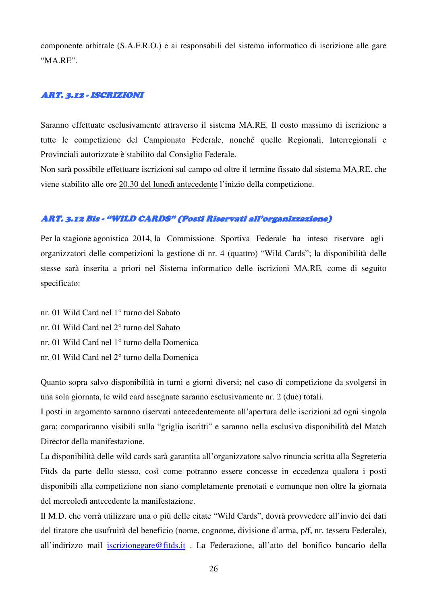componente arbitrale (S.A.F.R.O.) e ai responsabili del sistema informatico di iscrizione alle gare "MA.RE".

#### ART. 3.12 - ISCRIZIONI

Saranno effettuate esclusivamente attraverso il sistema MA.RE. Il costo massimo di iscrizione a tutte le competizione del Campionato Federale, nonché quelle Regionali, Interregionali e Provinciali autorizzate è stabilito dal Consiglio Federale.

Non sarà possibile effettuare iscrizioni sul campo od oltre il termine fissato dal sistema MA.RE. che viene stabilito alle ore 20.30 del lunedì antecedente l'inizio della competizione.

#### ART. 3.12 Bis - "WILD CARDS" (Posti Riservati all'organizzazione)

Per la stagione agonistica 2014, la Commissione Sportiva Federale ha inteso riservare agli organizzatori delle competizioni la gestione di nr. 4 (quattro) "Wild Cards"; la disponibilità delle stesse sarà inserita a priori nel Sistema informatico delle iscrizioni MA.RE. come di seguito specificato:

- nr. 01 Wild Card nel 1° turno del Sabato
- nr. 01 Wild Card nel 2° turno del Sabato
- nr. 01 Wild Card nel 1° turno della Domenica
- nr. 01 Wild Card nel 2° turno della Domenica

Quanto sopra salvo disponibilità in turni e giorni diversi; nel caso di competizione da svolgersi in una sola giornata, le wild card assegnate saranno esclusivamente nr. 2 (due) totali.

I posti in argomento saranno riservati antecedentemente all'apertura delle iscrizioni ad ogni singola gara; compariranno visibili sulla "griglia iscritti" e saranno nella esclusiva disponibilità del Match Director della manifestazione.

La disponibilità delle wild cards sarà garantita all'organizzatore salvo rinuncia scritta alla Segreteria Fitds da parte dello stesso, così come potranno essere concesse in eccedenza qualora i posti disponibili alla competizione non siano completamente prenotati e comunque non oltre la giornata del mercoledì antecedente la manifestazione.

Il M.D. che vorrà utilizzare una o più delle citate "Wild Cards", dovrà provvedere all'invio dei dati del tiratore che usufruirà del beneficio (nome, cognome, divisione d'arma, p/f, nr. tessera Federale), all'indirizzo mail iscrizionegare@fitds.it . La Federazione, all'atto del bonifico bancario della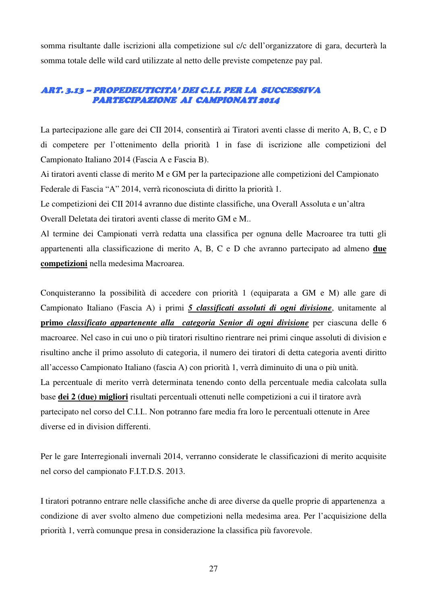somma risultante dalle iscrizioni alla competizione sul c/c dell'organizzatore di gara, decurterà la somma totale delle wild card utilizzate al netto delle previste competenze pay pal.

#### ART. 3.13 – PROPEDEUTICITA' DEI C.I.I. PER LA SUCCESSIVA PARTECIPAZIONE AI CAMPIONATI 2014

La partecipazione alle gare dei CII 2014, consentirà ai Tiratori aventi classe di merito A, B, C, e D di competere per l'ottenimento della priorità 1 in fase di iscrizione alle competizioni del Campionato Italiano 2014 (Fascia A e Fascia B).

Ai tiratori aventi classe di merito M e GM per la partecipazione alle competizioni del Campionato Federale di Fascia "A" 2014, verrà riconosciuta di diritto la priorità 1.

Le competizioni dei CII 2014 avranno due distinte classifiche, una Overall Assoluta e un'altra Overall Deletata dei tiratori aventi classe di merito GM e M..

Al termine dei Campionati verrà redatta una classifica per ognuna delle Macroaree tra tutti gli appartenenti alla classificazione di merito A, B, C e D che avranno partecipato ad almeno **due competizioni** nella medesima Macroarea.

Conquisteranno la possibilità di accedere con priorità 1 (equiparata a GM e M) alle gare di Campionato Italiano (Fascia A) i primi *5 classificati assoluti di ogni divisione*, unitamente al **primo** *classificato appartenente alla categoria Senior di ogni divisione* per ciascuna delle 6 macroaree. Nel caso in cui uno o più tiratori risultino rientrare nei primi cinque assoluti di division e risultino anche il primo assoluto di categoria, il numero dei tiratori di detta categoria aventi diritto all'accesso Campionato Italiano (fascia A) con priorità 1, verrà diminuito di una o più unità. La percentuale di merito verrà determinata tenendo conto della percentuale media calcolata sulla base **dei 2 (due) migliori** risultati percentuali ottenuti nelle competizioni a cui il tiratore avrà partecipato nel corso del C.I.I.. Non potranno fare media fra loro le percentuali ottenute in Aree diverse ed in division differenti.

Per le gare Interregionali invernali 2014, verranno considerate le classificazioni di merito acquisite nel corso del campionato F.I.T.D.S. 2013.

I tiratori potranno entrare nelle classifiche anche di aree diverse da quelle proprie di appartenenza a condizione di aver svolto almeno due competizioni nella medesima area. Per l'acquisizione della priorità 1, verrà comunque presa in considerazione la classifica più favorevole.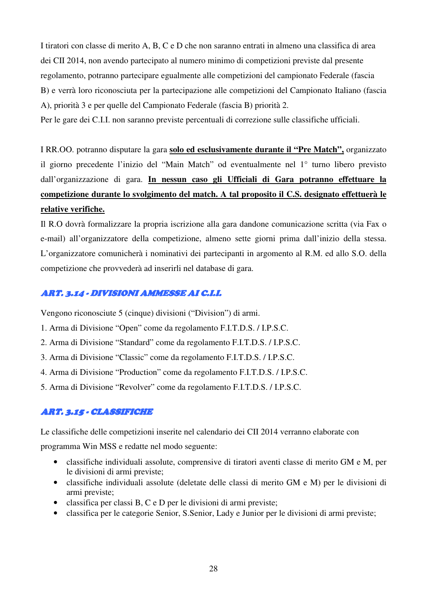I tiratori con classe di merito A, B, C e D che non saranno entrati in almeno una classifica di area dei CII 2014, non avendo partecipato al numero minimo di competizioni previste dal presente regolamento, potranno partecipare egualmente alle competizioni del campionato Federale (fascia B) e verrà loro riconosciuta per la partecipazione alle competizioni del Campionato Italiano (fascia A), priorità 3 e per quelle del Campionato Federale (fascia B) priorità 2.

Per le gare dei C.I.I. non saranno previste percentuali di correzione sulle classifiche ufficiali.

I RR.OO. potranno disputare la gara **solo ed esclusivamente durante il "Pre Match",** organizzato il giorno precedente l'inizio del "Main Match" od eventualmente nel 1° turno libero previsto dall'organizzazione di gara. **In nessun caso gli Ufficiali di Gara potranno effettuare la competizione durante lo svolgimento del match. A tal proposito il C.S. designato effettuerà le relative verifiche.**

Il R.O dovrà formalizzare la propria iscrizione alla gara dandone comunicazione scritta (via Fax o e-mail) all'organizzatore della competizione, almeno sette giorni prima dall'inizio della stessa. L'organizzatore comunicherà i nominativi dei partecipanti in argomento al R.M. ed allo S.O. della competizione che provvederà ad inserirli nel database di gara.

#### ART. 3.14 - DIVISIONI AMMESSE AI C.I.I. AMMESSE AI C.I.I.

Vengono riconosciute 5 (cinque) divisioni ("Division") di armi.

- 1. Arma di Divisione "Open" come da regolamento F.I.T.D.S. / I.P.S.C.
- 2. Arma di Divisione "Standard" come da regolamento F.I.T.D.S. / I.P.S.C.
- 3. Arma di Divisione "Classic" come da regolamento F.I.T.D.S. / I.P.S.C.
- 4. Arma di Divisione "Production" come da regolamento F.I.T.D.S. / I.P.S.C.
- 5. Arma di Divisione "Revolver" come da regolamento F.I.T.D.S. / I.P.S.C.

#### ART. 3.15 - CLASSIFICHE

Le classifiche delle competizioni inserite nel calendario dei CII 2014 verranno elaborate con programma Win MSS e redatte nel modo seguente:

- classifiche individuali assolute, comprensive di tiratori aventi classe di merito GM e M, per le divisioni di armi previste;
	- classifiche individuali assolute (deletate delle classi di merito GM e M) per le divisioni di armi previste;
	- classifica per classi B, C e D per le divisioni di armi previste;
	- classifica per le categorie Senior, S.Senior, Lady e Junior per le divisioni di armi previste;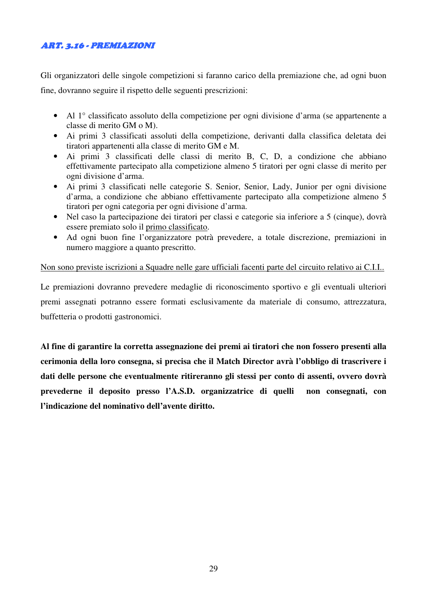### ART. 3.16 - PREMIAZIONI PREMIAZIONI PREMIAZIONI

Gli organizzatori delle singole competizioni si faranno carico della premiazione che, ad ogni buon fine, dovranno seguire il rispetto delle seguenti prescrizioni:

- Al 1° classificato assoluto della competizione per ogni divisione d'arma (se appartenente a classe di merito GM o M).
- Ai primi 3 classificati assoluti della competizione, derivanti dalla classifica deletata dei tiratori appartenenti alla classe di merito GM e M.
- Ai primi 3 classificati delle classi di merito B, C, D, a condizione che abbiano effettivamente partecipato alla competizione almeno 5 tiratori per ogni classe di merito per ogni divisione d'arma.
- Ai primi 3 classificati nelle categorie S. Senior, Senior, Lady, Junior per ogni divisione d'arma, a condizione che abbiano effettivamente partecipato alla competizione almeno 5 tiratori per ogni categoria per ogni divisione d'arma.
- Nel caso la partecipazione dei tiratori per classi e categorie sia inferiore a 5 (cinque), dovrà essere premiato solo il primo classificato.
- Ad ogni buon fine l'organizzatore potrà prevedere, a totale discrezione, premiazioni in numero maggiore a quanto prescritto.

#### Non sono previste iscrizioni a Squadre nelle gare ufficiali facenti parte del circuito relativo ai C.I.I..

Le premiazioni dovranno prevedere medaglie di riconoscimento sportivo e gli eventuali ulteriori premi assegnati potranno essere formati esclusivamente da materiale di consumo, attrezzatura, buffetteria o prodotti gastronomici.

**Al fine di garantire la corretta assegnazione dei premi ai tiratori che non fossero presenti alla cerimonia della loro consegna, si precisa che il Match Director avrà l'obbligo di trascrivere i dati delle persone che eventualmente ritireranno gli stessi per conto di assenti, ovvero dovrà prevederne il deposito presso l'A.S.D. organizzatrice di quelli non consegnati, con l'indicazione del nominativo dell'avente diritto.**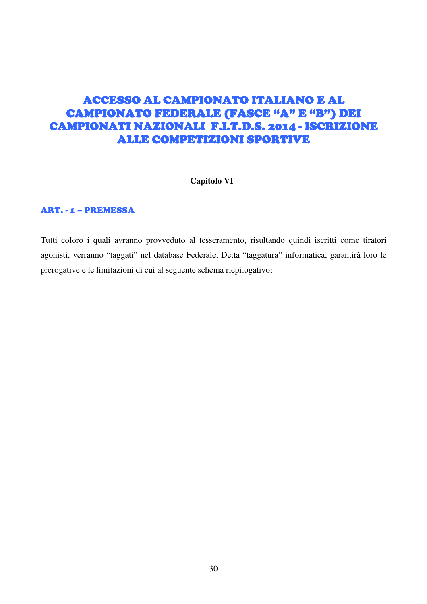# ACCESSO AL CAMPIONATO ITALIANO E AL ACCESSO AL CAMPIONATO ITALIANO E AL CAMPIONATO FEDERALE (FASCE "A" E "B") DEI CAMPIONATI NAZIONALI F.I.T.D.S. 2014 - ISCRIZIONE **ALLE COMPETIZIONI SPORTIVE**

#### **Capitolo VI°**

#### ART. - 1 – PREMESSA

Tutti coloro i quali avranno provveduto al tesseramento, risultando quindi iscritti come tiratori agonisti, verranno "taggati" nel database Federale. Detta "taggatura" informatica, garantirà loro le prerogative e le limitazioni di cui al seguente schema riepilogativo: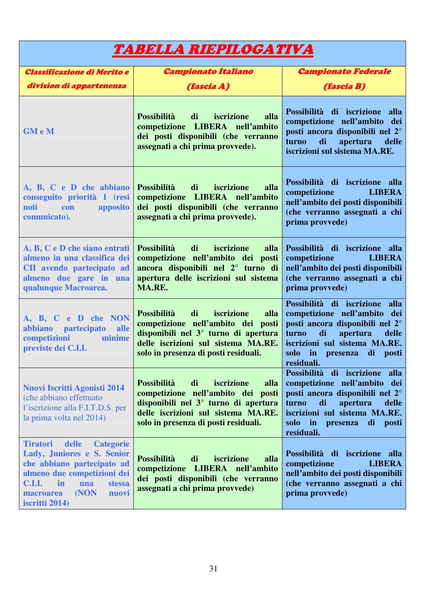| TABELLA RIEPILOGATIVA                                                                                                                                                                                                                  |                                                                                                                                                                                                                    |                                                                                                                                                                                                                                                                                              |
|----------------------------------------------------------------------------------------------------------------------------------------------------------------------------------------------------------------------------------------|--------------------------------------------------------------------------------------------------------------------------------------------------------------------------------------------------------------------|----------------------------------------------------------------------------------------------------------------------------------------------------------------------------------------------------------------------------------------------------------------------------------------------|
| <b>Classificazione di Merito e</b>                                                                                                                                                                                                     | <b>Campionato Italiano</b>                                                                                                                                                                                         | <b>Campionato Federale</b>                                                                                                                                                                                                                                                                   |
| division di appartenenza                                                                                                                                                                                                               | <i><b>(fascia A)</b></i>                                                                                                                                                                                           | <i><b>(fascia B)</b></i>                                                                                                                                                                                                                                                                     |
| <b>GM</b> e M                                                                                                                                                                                                                          | <b>Possibilità</b><br>di<br>iscrizione<br>alla<br>competizione LIBERA nell'ambito<br>dei posti disponibili (che verranno<br>assegnati a chi prima provvede).                                                       | Possibilità di iscrizione alla<br>competizione nell'ambito dei<br>posti ancora disponibili nel 2°<br>turno<br>di<br>apertura<br>delle<br>iscrizioni sul sistema MA.RE.                                                                                                                       |
| A, B, C e D che abbiano<br>conseguito priorità 1 (resi<br>noti<br>apposito<br>con<br>comunicato).                                                                                                                                      | <b>Possibilità</b><br>di<br>iscrizione<br>alla<br>competizione LIBERA nell'ambito<br>dei posti disponibili (che verranno<br>assegnati a chi prima provvede).                                                       | Possibilità di iscrizione alla<br>competizione<br><b>LIBERA</b><br>nell'ambito dei posti disponibili<br>(che verranno assegnati a chi<br>prima provvede)                                                                                                                                     |
| A, B, C e D che siano entrati<br>almeno in una classifica dei<br>CII avendo partecipato ad<br>almeno due gare in una<br>qualunque Macroarea.                                                                                           | iscrizione<br><b>Possibilità</b><br>di<br>alla<br>competizione nell'ambito dei posti<br>ancora disponibili nel 2° turno di<br>apertura delle iscrizioni sul sistema<br>MA.RE.                                      | Possibilità di iscrizione alla<br>competizione<br><b>LIBERA</b><br>nell'ambito dei posti disponibili<br>(che verranno assegnati a chi<br>prima provvede)                                                                                                                                     |
| A, B, C e D che NON<br>abbiano partecipato<br>alle<br>minime<br>competizioni<br>previste dei C.I.I.                                                                                                                                    | di<br>iscrizione<br><b>Possibilità</b><br>alla<br>competizione nell'ambito dei posti<br>disponibili nel $3^\circ$ turno di apertura<br>delle iscrizioni sul sistema MA.RE.<br>solo in presenza di posti residuali. | Possibilità di iscrizione alla<br>competizione nell'ambito dei<br>posti ancora disponibili nel 2°<br>di<br>apertura<br>turno<br>delle<br>iscrizioni sul sistema MA.RE.<br>solo in presenza di posti<br><b>residuali.</b> The setting of the setting of the setting of the setting of the set |
| <b>Nuovi Iscritti Agonisti 2014</b><br>(che abbiano effettuato<br>l'iscrizione alla F.I.T.D.S. per<br>la prima volta nel 2014)                                                                                                         | Possibilità<br>di<br>iscrizione<br>alla<br>competizione nell'ambito dei posti<br>disponibili nel 3 <sup>°</sup> turno di apertura<br>delle iscrizioni sul sistema MA.RE.<br>solo in presenza di posti residuali.   | Possibilità di iscrizione alla<br>competizione nell'ambito dei<br>posti ancora disponibili nel 2°<br>turno<br>di<br>apertura<br>delle<br>iscrizioni sul sistema MA.RE.<br>solo in presenza<br>di<br><i>posti</i><br>residuali.                                                               |
| <b>Tiratori</b><br>delle<br><b>Categorie</b><br>Lady, Juniores e S. Senior<br>che abbiano partecipato ad<br>almeno due competizioni dei<br><b>C.I.I.</b><br>in<br>una<br><b>stessa</b><br>(NON<br>nuovi<br>macroarea<br>iscritti 2014) | iscrizione<br><b>Possibilità</b><br>di<br>alla<br>competizione LIBERA nell'ambito<br>dei posti disponibili (che verranno<br>assegnati a chi prima provvede)                                                        | Possibilità di iscrizione alla<br>competizione<br><b>LIBERA</b><br>nell'ambito dei posti disponibili<br>(che verranno assegnati a chi<br>prima provvede)                                                                                                                                     |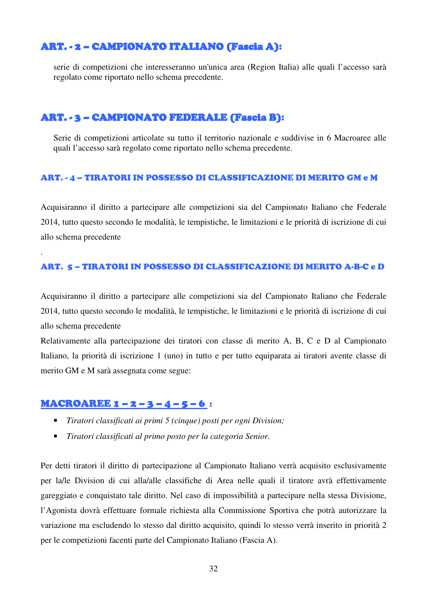### ART. - 2 – CAMPIONATO ITALIANO (Fascia A):

serie di competizioni che interesseranno un'unica area (Region Italia) alle quali l'accesso sarà regolato come riportato nello schema precedente.

### ART. - 3 – CAMPIONATO FEDERALE (Fascia B):

Serie di competizioni articolate su tutto il territorio nazionale e suddivise in 6 Macroaree alle quali l'accesso sarà regolato come riportato nello schema precedente.

#### ART. - 4 – TIRATORI IN POSSESSO DI CLASSIFICAZIONE DI MERITO GM e M

Acquisiranno il diritto a partecipare alle competizioni sia del Campionato Italiano che Federale 2014, tutto questo secondo le modalità, le tempistiche, le limitazioni e le priorità di iscrizione di cui allo schema precedente

#### ART. 5 – TIRATORI IN POSSESSO DI CLASSIFICAZIONE DI MERITO A-B-C e D

Acquisiranno il diritto a partecipare alle competizioni sia del Campionato Italiano che Federale 2014, tutto questo secondo le modalità, le tempistiche, le limitazioni e le priorità di iscrizione di cui allo schema precedente

Relativamente alla partecipazione dei tiratori con classe di merito A, B, C e D al Campionato Italiano, la priorità di iscrizione 1 (uno) in tutto e per tutto equiparata ai tiratori avente classe di merito GM e M sarà assegnata come segue:

### MACROAREE 1 – 2 – 3 – 4 – 5 – 6 :

.

- *Tiratori classificati ai primi 5 (cinque) posti per ogni Division;*
- *Tiratori classificati al primo posto per la categoria Senior.*

Per detti tiratori il diritto di partecipazione al Campionato Italiano verrà acquisito esclusivamente per la/le Division di cui alla/alle classifiche di Area nelle quali il tiratore avrà effettivamente gareggiato e conquistato tale diritto. Nel caso di impossibilità a partecipare nella stessa Divisione, l'Agonista dovrà effettuare formale richiesta alla Commissione Sportiva che potrà autorizzare la variazione ma escludendo lo stesso dal diritto acquisito, quindi lo stesso verrà inserito in priorità 2 per le competizioni facenti parte del Campionato Italiano (Fascia A).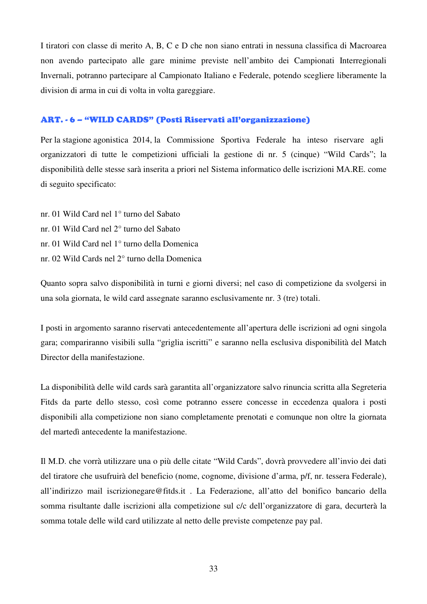I tiratori con classe di merito A, B, C e D che non siano entrati in nessuna classifica di Macroarea non avendo partecipato alle gare minime previste nell'ambito dei Campionati Interregionali Invernali, potranno partecipare al Campionato Italiano e Federale, potendo scegliere liberamente la division di arma in cui di volta in volta gareggiare.

#### ART. - 6 – "WILD CARDS" (Posti Riservati all'organizzazione)

Per la stagione agonistica 2014, la Commissione Sportiva Federale ha inteso riservare agli organizzatori di tutte le competizioni ufficiali la gestione di nr. 5 (cinque) "Wild Cards"; la disponibilità delle stesse sarà inserita a priori nel Sistema informatico delle iscrizioni MA.RE. come di seguito specificato:

nr. 01 Wild Card nel 1° turno del Sabato nr. 01 Wild Card nel 2° turno del Sabato nr. 01 Wild Card nel 1° turno della Domenica nr. 02 Wild Cards nel 2° turno della Domenica

Quanto sopra salvo disponibilità in turni e giorni diversi; nel caso di competizione da svolgersi in una sola giornata, le wild card assegnate saranno esclusivamente nr. 3 (tre) totali.

I posti in argomento saranno riservati antecedentemente all'apertura delle iscrizioni ad ogni singola gara; compariranno visibili sulla "griglia iscritti" e saranno nella esclusiva disponibilità del Match Director della manifestazione.

La disponibilità delle wild cards sarà garantita all'organizzatore salvo rinuncia scritta alla Segreteria Fitds da parte dello stesso, così come potranno essere concesse in eccedenza qualora i posti disponibili alla competizione non siano completamente prenotati e comunque non oltre la giornata del martedì antecedente la manifestazione.

Il M.D. che vorrà utilizzare una o più delle citate "Wild Cards", dovrà provvedere all'invio dei dati del tiratore che usufruirà del beneficio (nome, cognome, divisione d'arma, p/f, nr. tessera Federale), all'indirizzo mail iscrizionegare@fitds.it . La Federazione, all'atto del bonifico bancario della somma risultante dalle iscrizioni alla competizione sul c/c dell'organizzatore di gara, decurterà la somma totale delle wild card utilizzate al netto delle previste competenze pay pal.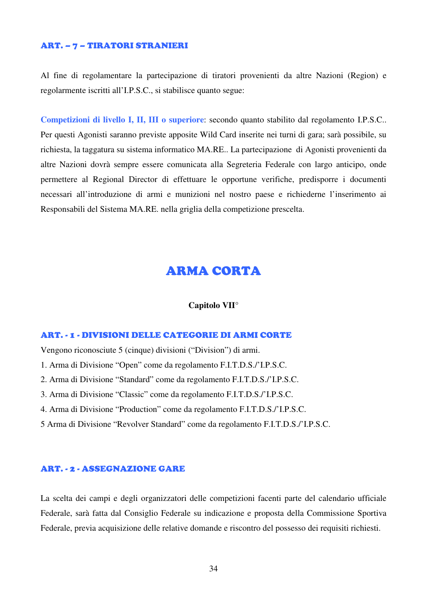#### ART. – 7 – TIRATORI STRANIERI

Al fine di regolamentare la partecipazione di tiratori provenienti da altre Nazioni (Region) e regolarmente iscritti all'I.P.S.C., si stabilisce quanto segue:

**Competizioni di livello I, II, III o superiore**: secondo quanto stabilito dal regolamento I.P.S.C.. Per questi Agonisti saranno previste apposite Wild Card inserite nei turni di gara; sarà possibile, su richiesta, la taggatura su sistema informatico MA.RE.. La partecipazione di Agonisti provenienti da altre Nazioni dovrà sempre essere comunicata alla Segreteria Federale con largo anticipo, onde permettere al Regional Director di effettuare le opportune verifiche, predisporre i documenti necessari all'introduzione di armi e munizioni nel nostro paese e richiederne l'inserimento ai Responsabili del Sistema MA.RE. nella griglia della competizione prescelta.

# ARMA CORTA

#### **Capitolo VII°**

#### ART. - 1 - DIVISIONI DELLE CATEGORIE DI ARMI CORTE

Vengono riconosciute 5 (cinque) divisioni ("Division") di armi.

- 1. Arma di Divisione "Open" come da regolamento F.I.T.D.S./'I.P.S.C.
- 2. Arma di Divisione "Standard" come da regolamento F.I.T.D.S./'I.P.S.C.
- 3. Arma di Divisione "Classic" come da regolamento F.I.T.D.S./'I.P.S.C.
- 4. Arma di Divisione "Production" come da regolamento F.I.T.D.S./'I.P.S.C.
- 5 Arma di Divisione "Revolver Standard" come da regolamento F.I.T.D.S./'I.P.S.C.

#### ART. - 2 - ASSEGNAZIONE GARE

La scelta dei campi e degli organizzatori delle competizioni facenti parte del calendario ufficiale Federale, sarà fatta dal Consiglio Federale su indicazione e proposta della Commissione Sportiva Federale, previa acquisizione delle relative domande e riscontro del possesso dei requisiti richiesti.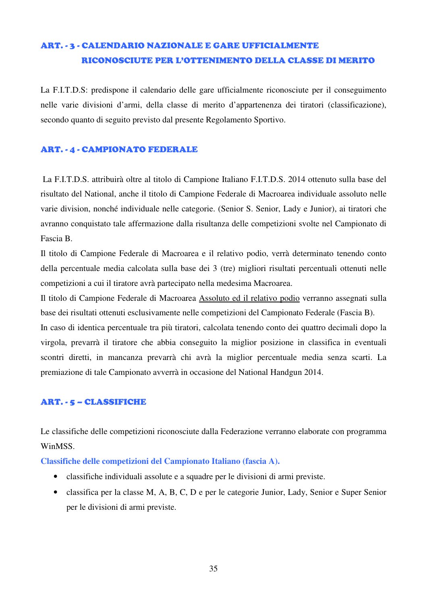# ART. - 3 - CALENDARIO NAZIONALE E GARE UFFICIALMENTE RICONOSCIUTE PER L'OTTENIMENTO DELLA CLASSE DI MERITO

La F.I.T.D.S: predispone il calendario delle gare ufficialmente riconosciute per il conseguimento nelle varie divisioni d'armi, della classe di merito d'appartenenza dei tiratori (classificazione), secondo quanto di seguito previsto dal presente Regolamento Sportivo.

#### ART. - 4 - CAMPIONATO FEDERALE

La F.I.T.D.S. attribuirà oltre al titolo di Campione Italiano F.I.T.D.S. 2014 ottenuto sulla base del risultato del National, anche il titolo di Campione Federale di Macroarea individuale assoluto nelle varie division, nonché individuale nelle categorie. (Senior S. Senior, Lady e Junior), ai tiratori che avranno conquistato tale affermazione dalla risultanza delle competizioni svolte nel Campionato di Fascia B.

Il titolo di Campione Federale di Macroarea e il relativo podio, verrà determinato tenendo conto della percentuale media calcolata sulla base dei 3 (tre) migliori risultati percentuali ottenuti nelle competizioni a cui il tiratore avrà partecipato nella medesima Macroarea.

Il titolo di Campione Federale di Macroarea Assoluto ed il relativo podio verranno assegnati sulla base dei risultati ottenuti esclusivamente nelle competizioni del Campionato Federale (Fascia B).

In caso di identica percentuale tra più tiratori, calcolata tenendo conto dei quattro decimali dopo la virgola, prevarrà il tiratore che abbia conseguito la miglior posizione in classifica in eventuali scontri diretti, in mancanza prevarrà chi avrà la miglior percentuale media senza scarti. La premiazione di tale Campionato avverrà in occasione del National Handgun 2014.

#### ART. - 5 – CLASSIFICHE

Le classifiche delle competizioni riconosciute dalla Federazione verranno elaborate con programma WinMSS.

**Classifiche delle competizioni del Campionato Italiano (fascia A).** 

- classifiche individuali assolute e a squadre per le divisioni di armi previste.
- classifica per la classe M, A, B, C, D e per le categorie Junior, Lady, Senior e Super Senior per le divisioni di armi previste.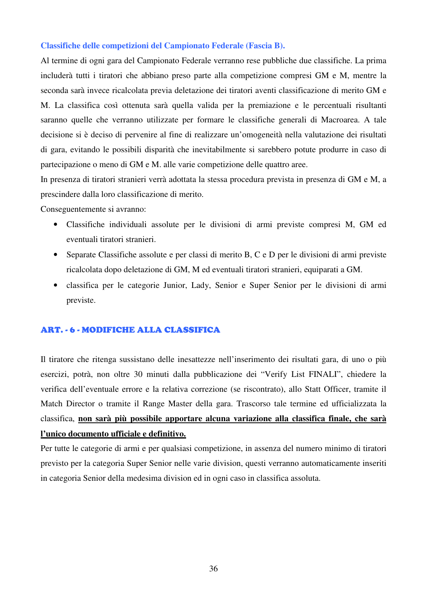#### **Classifiche delle competizioni del Campionato Federale (Fascia B).**

Al termine di ogni gara del Campionato Federale verranno rese pubbliche due classifiche. La prima includerà tutti i tiratori che abbiano preso parte alla competizione compresi GM e M, mentre la seconda sarà invece ricalcolata previa deletazione dei tiratori aventi classificazione di merito GM e M. La classifica così ottenuta sarà quella valida per la premiazione e le percentuali risultanti saranno quelle che verranno utilizzate per formare le classifiche generali di Macroarea. A tale decisione si è deciso di pervenire al fine di realizzare un'omogeneità nella valutazione dei risultati di gara, evitando le possibili disparità che inevitabilmente si sarebbero potute produrre in caso di partecipazione o meno di GM e M. alle varie competizione delle quattro aree.

In presenza di tiratori stranieri verrà adottata la stessa procedura prevista in presenza di GM e M, a prescindere dalla loro classificazione di merito.

Conseguentemente si avranno:

- Classifiche individuali assolute per le divisioni di armi previste compresi M, GM ed eventuali tiratori stranieri.
- Separate Classifiche assolute e per classi di merito B, C e D per le divisioni di armi previste ricalcolata dopo deletazione di GM, M ed eventuali tiratori stranieri, equiparati a GM.
- classifica per le categorie Junior, Lady, Senior e Super Senior per le divisioni di armi previste.

#### ART. - 6 - MODIFICHE ALLA CLASSIFICA

Il tiratore che ritenga sussistano delle inesattezze nell'inserimento dei risultati gara, di uno o più esercizi, potrà, non oltre 30 minuti dalla pubblicazione dei "Verify List FINALI", chiedere la verifica dell'eventuale errore e la relativa correzione (se riscontrato), allo Statt Officer, tramite il Match Director o tramite il Range Master della gara. Trascorso tale termine ed ufficializzata la classifica, **non sarà più possibile apportare alcuna variazione alla classifica finale, che sarà l'unico documento ufficiale e definitivo.**

Per tutte le categorie di armi e per qualsiasi competizione, in assenza del numero minimo di tiratori previsto per la categoria Super Senior nelle varie division, questi verranno automaticamente inseriti in categoria Senior della medesima division ed in ogni caso in classifica assoluta.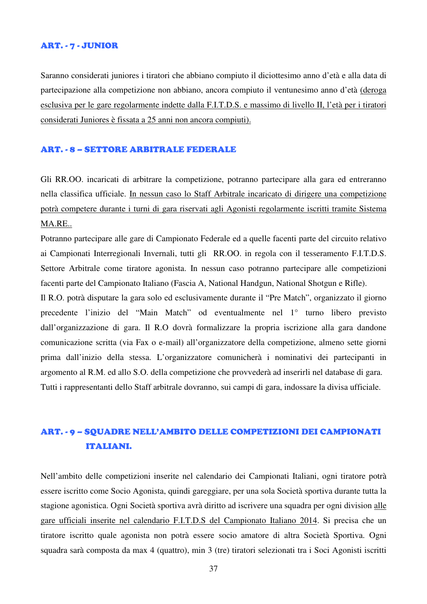#### ART. - 7 - JUNIOR

Saranno considerati juniores i tiratori che abbiano compiuto il diciottesimo anno d'età e alla data di partecipazione alla competizione non abbiano, ancora compiuto il ventunesimo anno d'età (deroga esclusiva per le gare regolarmente indette dalla F.I.T.D.S. e massimo di livello II, l'età per i tiratori considerati Juniores è fissata a 25 anni non ancora compiuti).

#### ART. - 8 – SETTORE ARBITRALE FEDERALE

Gli RR.OO. incaricati di arbitrare la competizione, potranno partecipare alla gara ed entreranno nella classifica ufficiale. In nessun caso lo Staff Arbitrale incaricato di dirigere una competizione potrà competere durante i turni di gara riservati agli Agonisti regolarmente iscritti tramite Sistema MA.RE..

Potranno partecipare alle gare di Campionato Federale ed a quelle facenti parte del circuito relativo ai Campionati Interregionali Invernali, tutti gli RR.OO. in regola con il tesseramento F.I.T.D.S. Settore Arbitrale come tiratore agonista. In nessun caso potranno partecipare alle competizioni facenti parte del Campionato Italiano (Fascia A, National Handgun, National Shotgun e Rifle).

Il R.O. potrà disputare la gara solo ed esclusivamente durante il "Pre Match", organizzato il giorno precedente l'inizio del "Main Match" od eventualmente nel 1° turno libero previsto dall'organizzazione di gara. Il R.O dovrà formalizzare la propria iscrizione alla gara dandone comunicazione scritta (via Fax o e-mail) all'organizzatore della competizione, almeno sette giorni prima dall'inizio della stessa. L'organizzatore comunicherà i nominativi dei partecipanti in argomento al R.M. ed allo S.O. della competizione che provvederà ad inserirli nel database di gara. Tutti i rappresentanti dello Staff arbitrale dovranno, sui campi di gara, indossare la divisa ufficiale.

# ART. - 9 – SQUADRE NELL'AMBITO DELLE COMPETIZIONI DEI CAMPIONATI ITALIANI.

Nell'ambito delle competizioni inserite nel calendario dei Campionati Italiani, ogni tiratore potrà essere iscritto come Socio Agonista, quindi gareggiare, per una sola Società sportiva durante tutta la stagione agonistica. Ogni Società sportiva avrà diritto ad iscrivere una squadra per ogni division alle gare ufficiali inserite nel calendario F.I.T.D.S del Campionato Italiano 2014. Si precisa che un tiratore iscritto quale agonista non potrà essere socio amatore di altra Società Sportiva. Ogni squadra sarà composta da max 4 (quattro), min 3 (tre) tiratori selezionati tra i Soci Agonisti iscritti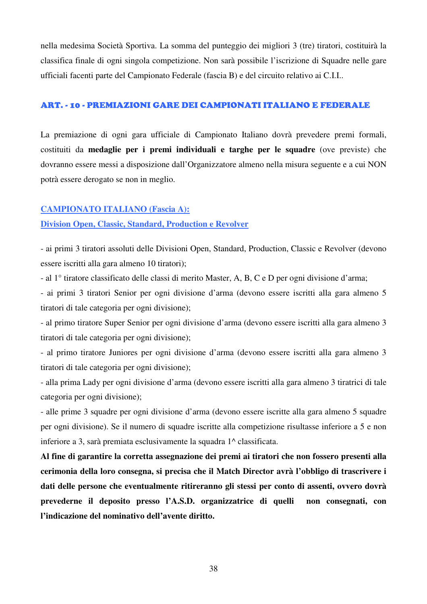nella medesima Società Sportiva. La somma del punteggio dei migliori 3 (tre) tiratori, costituirà la classifica finale di ogni singola competizione. Non sarà possibile l'iscrizione di Squadre nelle gare ufficiali facenti parte del Campionato Federale (fascia B) e del circuito relativo ai C.I.I..

#### ART. - 10 - PREMIAZIONI GARE DEI CAMPIONATI ITALIANO E FEDERALE

La premiazione di ogni gara ufficiale di Campionato Italiano dovrà prevedere premi formali, costituiti da **medaglie per i premi individuali e targhe per le squadre** (ove previste) che dovranno essere messi a disposizione dall'Organizzatore almeno nella misura seguente e a cui NON potrà essere derogato se non in meglio.

#### **CAMPIONATO ITALIANO (Fascia A):**

#### **Division Open, Classic, Standard, Production e Revolver**

- ai primi 3 tiratori assoluti delle Divisioni Open, Standard, Production, Classic e Revolver (devono essere iscritti alla gara almeno 10 tiratori);

- al 1° tiratore classificato delle classi di merito Master, A, B, C e D per ogni divisione d'arma;

- ai primi 3 tiratori Senior per ogni divisione d'arma (devono essere iscritti alla gara almeno 5 tiratori di tale categoria per ogni divisione);

- al primo tiratore Super Senior per ogni divisione d'arma (devono essere iscritti alla gara almeno 3 tiratori di tale categoria per ogni divisione);

- al primo tiratore Juniores per ogni divisione d'arma (devono essere iscritti alla gara almeno 3 tiratori di tale categoria per ogni divisione);

- alla prima Lady per ogni divisione d'arma (devono essere iscritti alla gara almeno 3 tiratrici di tale categoria per ogni divisione);

- alle prime 3 squadre per ogni divisione d'arma (devono essere iscritte alla gara almeno 5 squadre per ogni divisione). Se il numero di squadre iscritte alla competizione risultasse inferiore a 5 e non inferiore a 3, sarà premiata esclusivamente la squadra 1^ classificata.

**Al fine di garantire la corretta assegnazione dei premi ai tiratori che non fossero presenti alla cerimonia della loro consegna, si precisa che il Match Director avrà l'obbligo di trascrivere i dati delle persone che eventualmente ritireranno gli stessi per conto di assenti, ovvero dovrà prevederne il deposito presso l'A.S.D. organizzatrice di quelli non consegnati, con l'indicazione del nominativo dell'avente diritto.**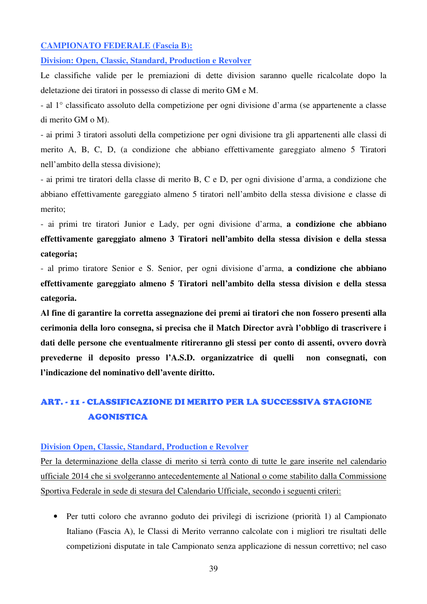#### **CAMPIONATO FEDERALE (Fascia B):**

**Division: Open, Classic, Standard, Production e Revolver** 

Le classifiche valide per le premiazioni di dette division saranno quelle ricalcolate dopo la deletazione dei tiratori in possesso di classe di merito GM e M.

- al 1° classificato assoluto della competizione per ogni divisione d'arma (se appartenente a classe di merito GM o M).

- ai primi 3 tiratori assoluti della competizione per ogni divisione tra gli appartenenti alle classi di merito A, B, C, D, (a condizione che abbiano effettivamente gareggiato almeno 5 Tiratori nell'ambito della stessa divisione);

- ai primi tre tiratori della classe di merito B, C e D, per ogni divisione d'arma, a condizione che abbiano effettivamente gareggiato almeno 5 tiratori nell'ambito della stessa divisione e classe di merito;

- ai primi tre tiratori Junior e Lady, per ogni divisione d'arma, **a condizione che abbiano effettivamente gareggiato almeno 3 Tiratori nell'ambito della stessa division e della stessa categoria;**

- al primo tiratore Senior e S. Senior, per ogni divisione d'arma, **a condizione che abbiano effettivamente gareggiato almeno 5 Tiratori nell'ambito della stessa division e della stessa categoria.** 

**Al fine di garantire la corretta assegnazione dei premi ai tiratori che non fossero presenti alla cerimonia della loro consegna, si precisa che il Match Director avrà l'obbligo di trascrivere i dati delle persone che eventualmente ritireranno gli stessi per conto di assenti, ovvero dovrà prevederne il deposito presso l'A.S.D. organizzatrice di quelli non consegnati, con l'indicazione del nominativo dell'avente diritto.** 

# ART. - 11 - CLASSIFICAZIONE DI MERITO PER LA SUCCESSIVA STAGIONE AGONISTICA

#### **Division Open, Classic, Standard, Production e Revolver**

Per la determinazione della classe di merito si terrà conto di tutte le gare inserite nel calendario ufficiale 2014 che si svolgeranno antecedentemente al National o come stabilito dalla Commissione Sportiva Federale in sede di stesura del Calendario Ufficiale, secondo i seguenti criteri:

• Per tutti coloro che avranno goduto dei privilegi di iscrizione (priorità 1) al Campionato Italiano (Fascia A), le Classi di Merito verranno calcolate con i migliori tre risultati delle competizioni disputate in tale Campionato senza applicazione di nessun correttivo; nel caso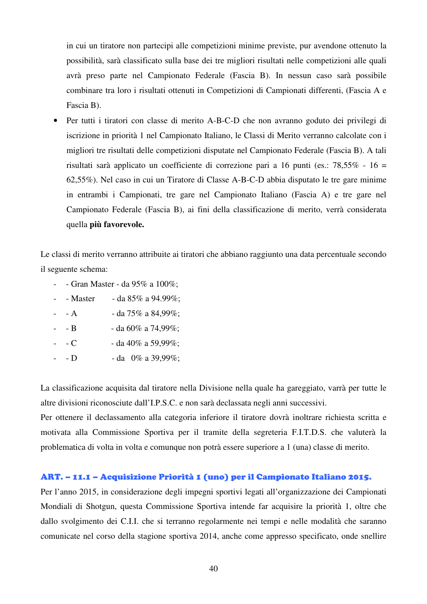in cui un tiratore non partecipi alle competizioni minime previste, pur avendone ottenuto la possibilità, sarà classificato sulla base dei tre migliori risultati nelle competizioni alle quali avrà preso parte nel Campionato Federale (Fascia B). In nessun caso sarà possibile combinare tra loro i risultati ottenuti in Competizioni di Campionati differenti, (Fascia A e Fascia B).

• Per tutti i tiratori con classe di merito A-B-C-D che non avranno goduto dei privilegi di iscrizione in priorità 1 nel Campionato Italiano, le Classi di Merito verranno calcolate con i migliori tre risultati delle competizioni disputate nel Campionato Federale (Fascia B). A tali risultati sarà applicato un coefficiente di correzione pari a 16 punti (es.: 78,55% - 16 = 62,55%). Nel caso in cui un Tiratore di Classe A-B-C-D abbia disputato le tre gare minime in entrambi i Campionati, tre gare nel Campionato Italiano (Fascia A) e tre gare nel Campionato Federale (Fascia B), ai fini della classificazione di merito, verrà considerata quella **più favorevole.** 

Le classi di merito verranno attribuite ai tiratori che abbiano raggiunto una data percentuale secondo il seguente schema:

- - Gran Master da 95% a 100%;
- - Master da  $85\%$  a  $94.99\%$ ;
- $-$  A  $-$  da 75% a 84,99%;
- $-$  B  $-$  da 60% a 74,99%;
- $-C$  da 40% a 59,99%;
- - D da  $0\%$  a 39,99%;

La classificazione acquisita dal tiratore nella Divisione nella quale ha gareggiato, varrà per tutte le altre divisioni riconosciute dall'I.P.S.C. e non sarà declassata negli anni successivi.

Per ottenere il declassamento alla categoria inferiore il tiratore dovrà inoltrare richiesta scritta e motivata alla Commissione Sportiva per il tramite della segreteria F.I.T.D.S. che valuterà la problematica di volta in volta e comunque non potrà essere superiore a 1 (una) classe di merito.

#### ART. – 11.1 – Acquisizione Priorità 1 (uno) per il Campionato Italiano 2015.

Per l'anno 2015, in considerazione degli impegni sportivi legati all'organizzazione dei Campionati Mondiali di Shotgun, questa Commissione Sportiva intende far acquisire la priorità 1, oltre che dallo svolgimento dei C.I.I. che si terranno regolarmente nei tempi e nelle modalità che saranno comunicate nel corso della stagione sportiva 2014, anche come appresso specificato, onde snellire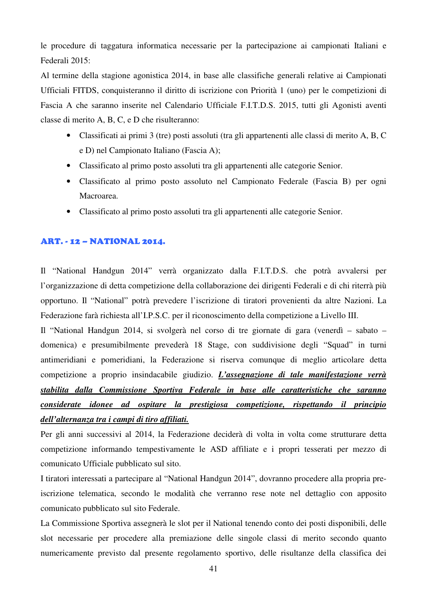le procedure di taggatura informatica necessarie per la partecipazione ai campionati Italiani e Federali 2015:

Al termine della stagione agonistica 2014, in base alle classifiche generali relative ai Campionati Ufficiali FITDS, conquisteranno il diritto di iscrizione con Priorità 1 (uno) per le competizioni di Fascia A che saranno inserite nel Calendario Ufficiale F.I.T.D.S. 2015, tutti gli Agonisti aventi classe di merito A, B, C, e D che risulteranno:

- Classificati ai primi 3 (tre) posti assoluti (tra gli appartenenti alle classi di merito A, B, C e D) nel Campionato Italiano (Fascia A);
- Classificato al primo posto assoluti tra gli appartenenti alle categorie Senior.
- Classificato al primo posto assoluto nel Campionato Federale (Fascia B) per ogni Macroarea.
- Classificato al primo posto assoluti tra gli appartenenti alle categorie Senior.

#### ART. - 12 – NATIONAL 2014.

Il "National Handgun 2014" verrà organizzato dalla F.I.T.D.S. che potrà avvalersi per l'organizzazione di detta competizione della collaborazione dei dirigenti Federali e di chi riterrà più opportuno. Il "National" potrà prevedere l'iscrizione di tiratori provenienti da altre Nazioni. La Federazione farà richiesta all'I.P.S.C. per il riconoscimento della competizione a Livello III.

Il "National Handgun 2014, si svolgerà nel corso di tre giornate di gara (venerdì – sabato – domenica) e presumibilmente prevederà 18 Stage, con suddivisione degli "Squad" in turni antimeridiani e pomeridiani, la Federazione si riserva comunque di meglio articolare detta competizione a proprio insindacabile giudizio. *L'assegnazione di tale manifestazione verrà stabilita dalla Commissione Sportiva Federale in base alle caratteristiche che saranno considerate idonee ad ospitare la prestigiosa competizione, rispettando il principio dell'alternanza tra i campi di tiro affiliati.*

Per gli anni successivi al 2014, la Federazione deciderà di volta in volta come strutturare detta competizione informando tempestivamente le ASD affiliate e i propri tesserati per mezzo di comunicato Ufficiale pubblicato sul sito.

I tiratori interessati a partecipare al "National Handgun 2014", dovranno procedere alla propria preiscrizione telematica, secondo le modalità che verranno rese note nel dettaglio con apposito comunicato pubblicato sul sito Federale.

La Commissione Sportiva assegnerà le slot per il National tenendo conto dei posti disponibili, delle slot necessarie per procedere alla premiazione delle singole classi di merito secondo quanto numericamente previsto dal presente regolamento sportivo, delle risultanze della classifica dei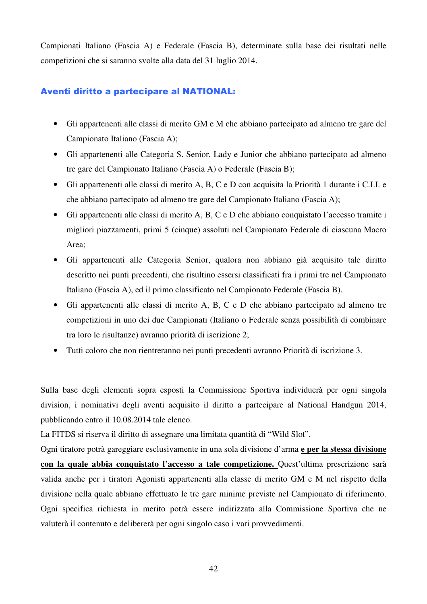Campionati Italiano (Fascia A) e Federale (Fascia B), determinate sulla base dei risultati nelle competizioni che si saranno svolte alla data del 31 luglio 2014.

### Aventi diritto a partecipare al NATIONAL:

- Gli appartenenti alle classi di merito GM e M che abbiano partecipato ad almeno tre gare del Campionato Italiano (Fascia A);
- Gli appartenenti alle Categoria S. Senior, Lady e Junior che abbiano partecipato ad almeno tre gare del Campionato Italiano (Fascia A) o Federale (Fascia B);
- Gli appartenenti alle classi di merito A, B, C e D con acquisita la Priorità 1 durante i C.I.I. e che abbiano partecipato ad almeno tre gare del Campionato Italiano (Fascia A);
- Gli appartenenti alle classi di merito A, B, C e D che abbiano conquistato l'accesso tramite i migliori piazzamenti, primi 5 (cinque) assoluti nel Campionato Federale di ciascuna Macro Area;
- Gli appartenenti alle Categoria Senior, qualora non abbiano già acquisito tale diritto descritto nei punti precedenti, che risultino essersi classificati fra i primi tre nel Campionato Italiano (Fascia A), ed il primo classificato nel Campionato Federale (Fascia B).
- Gli appartenenti alle classi di merito A, B, C e D che abbiano partecipato ad almeno tre competizioni in uno dei due Campionati (Italiano o Federale senza possibilità di combinare tra loro le risultanze) avranno priorità di iscrizione 2;
- Tutti coloro che non rientreranno nei punti precedenti avranno Priorità di iscrizione 3.

Sulla base degli elementi sopra esposti la Commissione Sportiva individuerà per ogni singola division, i nominativi degli aventi acquisito il diritto a partecipare al National Handgun 2014, pubblicando entro il 10.08.2014 tale elenco.

La FITDS si riserva il diritto di assegnare una limitata quantità di "Wild Slot".

Ogni tiratore potrà gareggiare esclusivamente in una sola divisione d'arma **e per la stessa divisione con la quale abbia conquistato l'accesso a tale competizione.** Quest'ultima prescrizione sarà valida anche per i tiratori Agonisti appartenenti alla classe di merito GM e M nel rispetto della divisione nella quale abbiano effettuato le tre gare minime previste nel Campionato di riferimento. Ogni specifica richiesta in merito potrà essere indirizzata alla Commissione Sportiva che ne valuterà il contenuto e delibererà per ogni singolo caso i vari provvedimenti.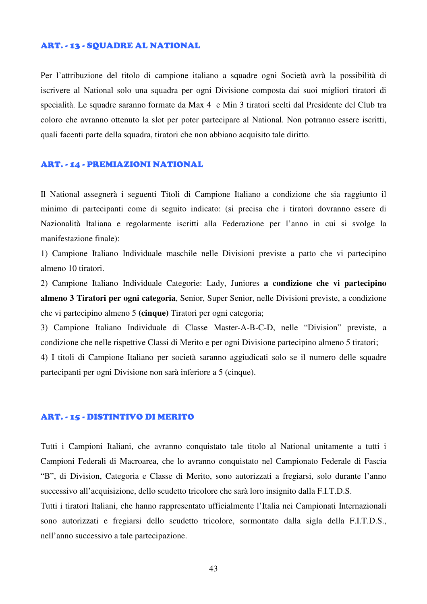#### ART. - 13 - SQUADRE AL NATIONAL

Per l'attribuzione del titolo di campione italiano a squadre ogni Società avrà la possibilità di iscrivere al National solo una squadra per ogni Divisione composta dai suoi migliori tiratori di specialità. Le squadre saranno formate da Max 4 e Min 3 tiratori scelti dal Presidente del Club tra coloro che avranno ottenuto la slot per poter partecipare al National. Non potranno essere iscritti, quali facenti parte della squadra, tiratori che non abbiano acquisito tale diritto.

#### ART. - 14 - PREMIAZIONI NATIONAL

Il National assegnerà i seguenti Titoli di Campione Italiano a condizione che sia raggiunto il minimo di partecipanti come di seguito indicato: (si precisa che i tiratori dovranno essere di Nazionalità Italiana e regolarmente iscritti alla Federazione per l'anno in cui si svolge la manifestazione finale):

1) Campione Italiano Individuale maschile nelle Divisioni previste a patto che vi partecipino almeno 10 tiratori.

2) Campione Italiano Individuale Categorie: Lady, Juniores **a condizione che vi partecipino almeno 3 Tiratori per ogni categoria**, Senior, Super Senior, nelle Divisioni previste, a condizione che vi partecipino almeno 5 **(cinque)** Tiratori per ogni categoria;

3) Campione Italiano Individuale di Classe Master-A-B-C-D, nelle "Division" previste, a condizione che nelle rispettive Classi di Merito e per ogni Divisione partecipino almeno 5 tiratori;

4) I titoli di Campione Italiano per società saranno aggiudicati solo se il numero delle squadre partecipanti per ogni Divisione non sarà inferiore a 5 (cinque).

#### ART. - 15 - DISTINTIVO DI MERITO

Tutti i Campioni Italiani, che avranno conquistato tale titolo al National unitamente a tutti i Campioni Federali di Macroarea, che lo avranno conquistato nel Campionato Federale di Fascia "B", di Division, Categoria e Classe di Merito, sono autorizzati a fregiarsi, solo durante l'anno successivo all'acquisizione, dello scudetto tricolore che sarà loro insignito dalla F.I.T.D.S.

Tutti i tiratori Italiani, che hanno rappresentato ufficialmente l'Italia nei Campionati Internazionali sono autorizzati e fregiarsi dello scudetto tricolore, sormontato dalla sigla della F.I.T.D.S., nell'anno successivo a tale partecipazione.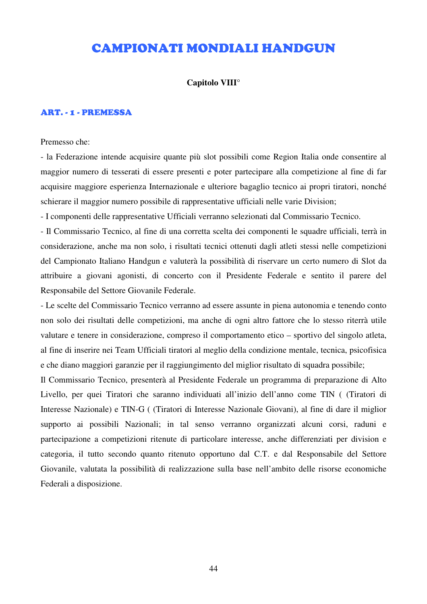# CAMPIONATI MONDIALI HANDGUN

#### **Capitolo VIII°**

#### ART. - 1 - PREMESSA

#### Premesso che:

- la Federazione intende acquisire quante più slot possibili come Region Italia onde consentire al maggior numero di tesserati di essere presenti e poter partecipare alla competizione al fine di far acquisire maggiore esperienza Internazionale e ulteriore bagaglio tecnico ai propri tiratori, nonché schierare il maggior numero possibile di rappresentative ufficiali nelle varie Division;

- I componenti delle rappresentative Ufficiali verranno selezionati dal Commissario Tecnico.

- Il Commissario Tecnico, al fine di una corretta scelta dei componenti le squadre ufficiali, terrà in considerazione, anche ma non solo, i risultati tecnici ottenuti dagli atleti stessi nelle competizioni del Campionato Italiano Handgun e valuterà la possibilità di riservare un certo numero di Slot da attribuire a giovani agonisti, di concerto con il Presidente Federale e sentito il parere del Responsabile del Settore Giovanile Federale.

- Le scelte del Commissario Tecnico verranno ad essere assunte in piena autonomia e tenendo conto non solo dei risultati delle competizioni, ma anche di ogni altro fattore che lo stesso riterrà utile valutare e tenere in considerazione, compreso il comportamento etico – sportivo del singolo atleta, al fine di inserire nei Team Ufficiali tiratori al meglio della condizione mentale, tecnica, psicofisica e che diano maggiori garanzie per il raggiungimento del miglior risultato di squadra possibile;

Il Commissario Tecnico, presenterà al Presidente Federale un programma di preparazione di Alto Livello, per quei Tiratori che saranno individuati all'inizio dell'anno come TIN ( (Tiratori di Interesse Nazionale) e TIN-G ( (Tiratori di Interesse Nazionale Giovani), al fine di dare il miglior supporto ai possibili Nazionali; in tal senso verranno organizzati alcuni corsi, raduni e partecipazione a competizioni ritenute di particolare interesse, anche differenziati per division e categoria, il tutto secondo quanto ritenuto opportuno dal C.T. e dal Responsabile del Settore Giovanile, valutata la possibilità di realizzazione sulla base nell'ambito delle risorse economiche Federali a disposizione.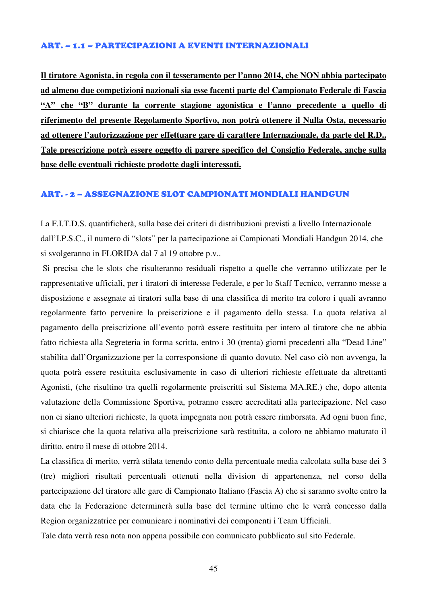#### ART. – 1.1 – PARTECIPAZIONI A EVENTI INTERNAZIONALI

**Il tiratore Agonista, in regola con il tesseramento per l'anno 2014, che NON abbia partecipato ad almeno due competizioni nazionali sia esse facenti parte del Campionato Federale di Fascia "A" che "B" durante la corrente stagione agonistica e l'anno precedente a quello di riferimento del presente Regolamento Sportivo, non potrà ottenere il Nulla Osta, necessario ad ottenere l'autorizzazione per effettuare gare di carattere Internazionale, da parte del R.D.. Tale prescrizione potrà essere oggetto di parere specifico del Consiglio Federale, anche sulla base delle eventuali richieste prodotte dagli interessati.**

#### ART. - 2 – ASSEGNAZIONE SLOT CAMPIONATI MONDIALI HANDGUN

La F.I.T.D.S. quantificherà, sulla base dei criteri di distribuzioni previsti a livello Internazionale dall'I.P.S.C., il numero di "slots" per la partecipazione ai Campionati Mondiali Handgun 2014, che si svolgeranno in FLORIDA dal 7 al 19 ottobre p.v..

 Si precisa che le slots che risulteranno residuali rispetto a quelle che verranno utilizzate per le rappresentative ufficiali, per i tiratori di interesse Federale, e per lo Staff Tecnico, verranno messe a disposizione e assegnate ai tiratori sulla base di una classifica di merito tra coloro i quali avranno regolarmente fatto pervenire la preiscrizione e il pagamento della stessa. La quota relativa al pagamento della preiscrizione all'evento potrà essere restituita per intero al tiratore che ne abbia fatto richiesta alla Segreteria in forma scritta, entro i 30 (trenta) giorni precedenti alla "Dead Line" stabilita dall'Organizzazione per la corresponsione di quanto dovuto. Nel caso ciò non avvenga, la quota potrà essere restituita esclusivamente in caso di ulteriori richieste effettuate da altrettanti Agonisti, (che risultino tra quelli regolarmente preiscritti sul Sistema MA.RE.) che, dopo attenta valutazione della Commissione Sportiva, potranno essere accreditati alla partecipazione. Nel caso non ci siano ulteriori richieste, la quota impegnata non potrà essere rimborsata. Ad ogni buon fine, si chiarisce che la quota relativa alla preiscrizione sarà restituita, a coloro ne abbiamo maturato il diritto, entro il mese di ottobre 2014.

La classifica di merito, verrà stilata tenendo conto della percentuale media calcolata sulla base dei 3 (tre) migliori risultati percentuali ottenuti nella division di appartenenza, nel corso della partecipazione del tiratore alle gare di Campionato Italiano (Fascia A) che si saranno svolte entro la data che la Federazione determinerà sulla base del termine ultimo che le verrà concesso dalla Region organizzatrice per comunicare i nominativi dei componenti i Team Ufficiali.

Tale data verrà resa nota non appena possibile con comunicato pubblicato sul sito Federale.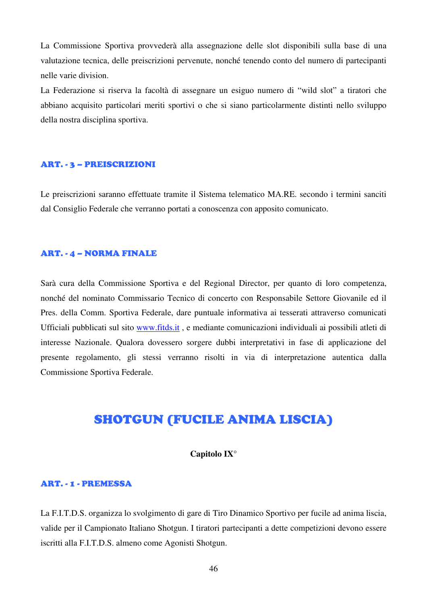La Commissione Sportiva provvederà alla assegnazione delle slot disponibili sulla base di una valutazione tecnica, delle preiscrizioni pervenute, nonché tenendo conto del numero di partecipanti nelle varie division.

La Federazione si riserva la facoltà di assegnare un esiguo numero di "wild slot" a tiratori che abbiano acquisito particolari meriti sportivi o che si siano particolarmente distinti nello sviluppo della nostra disciplina sportiva.

#### ART. - 3 – PREISCRIZIONI

Le preiscrizioni saranno effettuate tramite il Sistema telematico MA.RE. secondo i termini sanciti dal Consiglio Federale che verranno portati a conoscenza con apposito comunicato.

#### ART. - 4 – NORMA FINALE

Sarà cura della Commissione Sportiva e del Regional Director, per quanto di loro competenza, nonché del nominato Commissario Tecnico di concerto con Responsabile Settore Giovanile ed il Pres. della Comm. Sportiva Federale, dare puntuale informativa ai tesserati attraverso comunicati Ufficiali pubblicati sul sito www.fitds.it , e mediante comunicazioni individuali ai possibili atleti di interesse Nazionale. Qualora dovessero sorgere dubbi interpretativi in fase di applicazione del presente regolamento, gli stessi verranno risolti in via di interpretazione autentica dalla Commissione Sportiva Federale.

# SHOTGUN (FUCILE ANIMA LISCIA)

#### **Capitolo IX°**

#### ART. - 1 - PREMESSA

La F.I.T.D.S. organizza lo svolgimento di gare di Tiro Dinamico Sportivo per fucile ad anima liscia, valide per il Campionato Italiano Shotgun. I tiratori partecipanti a dette competizioni devono essere iscritti alla F.I.T.D.S. almeno come Agonisti Shotgun.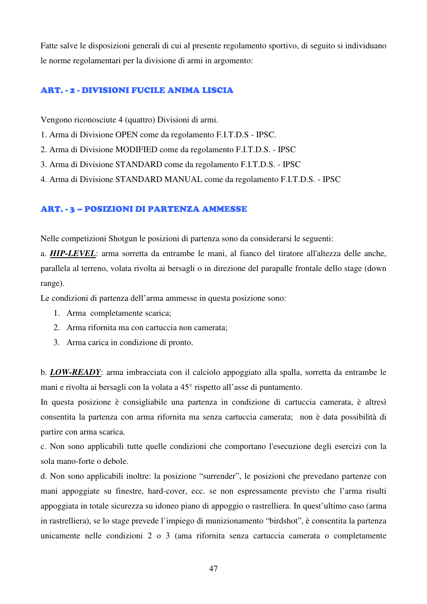Fatte salve le disposizioni generali di cui al presente regolamento sportivo, di seguito si individuano le norme regolamentari per la divisione di armi in argomento:

#### ART. - 2 - DIVISIONI FUCILE ANIMA LISCIA

Vengono riconosciute 4 (quattro) Divisioni di armi.

- 1. Arma di Divisione OPEN come da regolamento F.I.T.D.S IPSC.
- 2. Arma di Divisione MODIFIED come da regolamento F.I.T.D.S. IPSC
- 3. Arma di Divisione STANDARD come da regolamento F.I.T.D.S. IPSC
- 4. Arma di Divisione STANDARD MANUAL come da regolamento F.I.T.D.S. IPSC

#### ART. - 3 – POSIZIONI DI PARTENZA AMMESSE

Nelle competizioni Shotgun le posizioni di partenza sono da considerarsi le seguenti:

a. *HIP-LEVEL*: arma sorretta da entrambe le mani, al fianco del tiratore all'altezza delle anche, parallela al terreno, volata rivolta ai bersagli o in direzione del parapalle frontale dello stage (down range).

Le condizioni di partenza dell'arma ammesse in questa posizione sono:

- 1. Arma completamente scarica;
- 2. Arma rifornita ma con cartuccia non camerata;
- 3. Arma carica in condizione di pronto.

b. *LOW-READY*: arma imbracciata con il calciolo appoggiato alla spalla, sorretta da entrambe le mani e rivolta ai bersagli con la volata a 45° rispetto all'asse di puntamento.

In questa posizione è consigliabile una partenza in condizione di cartuccia camerata, è altresì consentita la partenza con arma rifornita ma senza cartuccia camerata; non è data possibilità di partire con arma scarica.

c. Non sono applicabili tutte quelle condizioni che comportano l'esecuzione degli esercizi con la sola mano-forte o debole.

d. Non sono applicabili inoltre: la posizione "surrender", le posizioni che prevedano partenze con mani appoggiate su finestre, hard-cover, ecc. se non espressamente previsto che l'arma risulti appoggiata in totale sicurezza su idoneo piano di appoggio o rastrelliera. In quest'ultimo caso (arma in rastrelliera), se lo stage prevede l'impiego di munizionamento "birdshot", è consentita la partenza unicamente nelle condizioni 2 o 3 (ama rifornita senza cartuccia camerata o completamente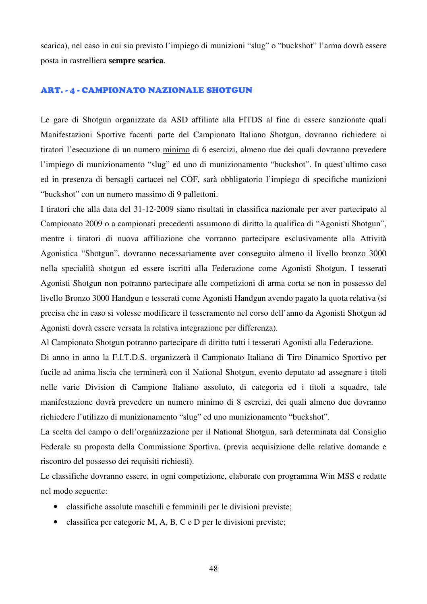scarica), nel caso in cui sia previsto l'impiego di munizioni "slug" o "buckshot" l'arma dovrà essere posta in rastrelliera **sempre scarica**.

#### ART. - 4 - CAMPIONATO NAZIONALE SHOTGUN

Le gare di Shotgun organizzate da ASD affiliate alla FITDS al fine di essere sanzionate quali Manifestazioni Sportive facenti parte del Campionato Italiano Shotgun, dovranno richiedere ai tiratori l'esecuzione di un numero minimo di 6 esercizi, almeno due dei quali dovranno prevedere l'impiego di munizionamento "slug" ed uno di munizionamento "buckshot". In quest'ultimo caso ed in presenza di bersagli cartacei nel COF, sarà obbligatorio l'impiego di specifiche munizioni "buckshot" con un numero massimo di 9 pallettoni.

I tiratori che alla data del 31-12-2009 siano risultati in classifica nazionale per aver partecipato al Campionato 2009 o a campionati precedenti assumono di diritto la qualifica di "Agonisti Shotgun", mentre i tiratori di nuova affiliazione che vorranno partecipare esclusivamente alla Attività Agonistica "Shotgun", dovranno necessariamente aver conseguito almeno il livello bronzo 3000 nella specialità shotgun ed essere iscritti alla Federazione come Agonisti Shotgun. I tesserati Agonisti Shotgun non potranno partecipare alle competizioni di arma corta se non in possesso del livello Bronzo 3000 Handgun e tesserati come Agonisti Handgun avendo pagato la quota relativa (si precisa che in caso si volesse modificare il tesseramento nel corso dell'anno da Agonisti Shotgun ad Agonisti dovrà essere versata la relativa integrazione per differenza).

Al Campionato Shotgun potranno partecipare di diritto tutti i tesserati Agonisti alla Federazione.

Di anno in anno la F.I.T.D.S. organizzerà il Campionato Italiano di Tiro Dinamico Sportivo per fucile ad anima liscia che terminerà con il National Shotgun, evento deputato ad assegnare i titoli nelle varie Division di Campione Italiano assoluto, di categoria ed i titoli a squadre, tale manifestazione dovrà prevedere un numero minimo di 8 esercizi, dei quali almeno due dovranno richiedere l'utilizzo di munizionamento "slug" ed uno munizionamento "buckshot".

La scelta del campo o dell'organizzazione per il National Shotgun, sarà determinata dal Consiglio Federale su proposta della Commissione Sportiva, (previa acquisizione delle relative domande e riscontro del possesso dei requisiti richiesti).

Le classifiche dovranno essere, in ogni competizione, elaborate con programma Win MSS e redatte nel modo seguente:

- classifiche assolute maschili e femminili per le divisioni previste;
- classifica per categorie M, A, B, C e D per le divisioni previste;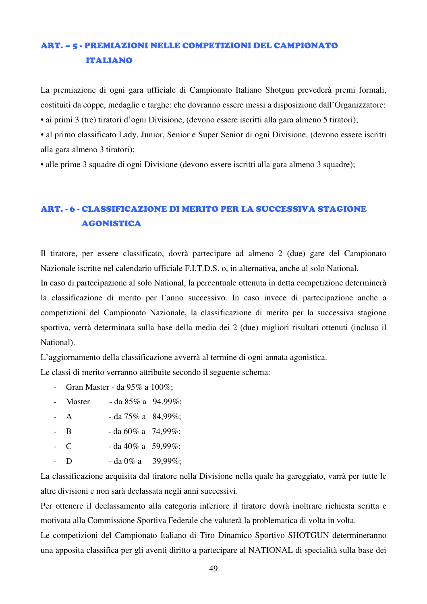# ART. – 5 - PREMIAZIONI NELLE COMPETIZIONI DEL CAMPIONATO ITALIANO

La premiazione di ogni gara ufficiale di Campionato Italiano Shotgun prevederà premi formali, costituiti da coppe, medaglie e targhe: che dovranno essere messi a disposizione dall'Organizzatore:

• ai primi 3 (tre) tiratori d'ogni Divisione, (devono essere iscritti alla gara almeno 5 tiratori);

• al primo classificato Lady, Junior, Senior e Super Senior di ogni Divisione, (devono essere iscritti alla gara almeno 3 tiratori);

• alle prime 3 squadre di ogni Divisione (devono essere iscritti alla gara almeno 3 squadre);

# ART. - 6 - CLASSIFICAZIONE DI MERITO PER LA SUCCESSIVA STAGIONE AGONISTICA

Il tiratore, per essere classificato, dovrà partecipare ad almeno 2 (due) gare del Campionato Nazionale iscritte nel calendario ufficiale F.I.T.D.S. o, in alternativa, anche al solo National.

In caso di partecipazione al solo National, la percentuale ottenuta in detta competizione determinerà la classificazione di merito per l'anno successivo. In caso invece di partecipazione anche a competizioni del Campionato Nazionale, la classificazione di merito per la successiva stagione sportiva, verrà determinata sulla base della media dei 2 (due) migliori risultati ottenuti (incluso il National).

L'aggiornamento della classificazione avverrà al termine di ogni annata agonistica.

Le classi di merito verranno attribuite secondo il seguente schema:

- Gran Master da 95% a 100%;
- Master da  $85\%$  a  $94.99\%$ :
- A  $-$  da 75% a  $84,99\%$ ;
- B da  $60\%$  a  $74,99\%$ ;
- C da 40% a 59.99%;
- D da  $0\%$  a 39.99%;

La classificazione acquisita dal tiratore nella Divisione nella quale ha gareggiato, varrà per tutte le altre divisioni e non sarà declassata negli anni successivi.

Per ottenere il declassamento alla categoria inferiore il tiratore dovrà inoltrare richiesta scritta e motivata alla Commissione Sportiva Federale che valuterà la problematica di volta in volta.

Le competizioni del Campionato Italiano di Tiro Dinamico Sportivo SHOTGUN determineranno una apposita classifica per gli aventi diritto a partecipare al NATIONAL di specialità sulla base dei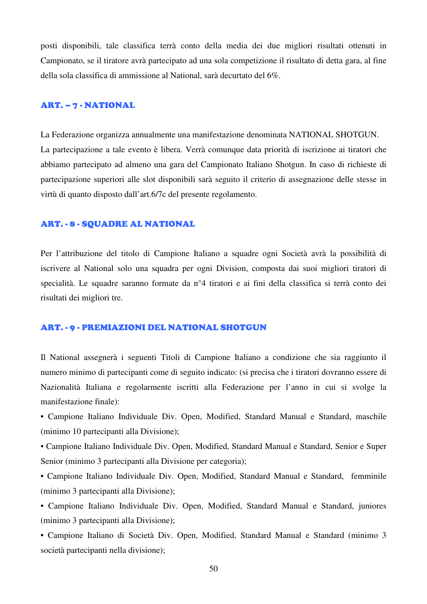posti disponibili, tale classifica terrà conto della media dei due migliori risultati ottenuti in Campionato, se il tiratore avrà partecipato ad una sola competizione il risultato di detta gara, al fine della sola classifica di ammissione al National, sarà decurtato del 6%.

#### ART. – 7 - NATIONAL

La Federazione organizza annualmente una manifestazione denominata NATIONAL SHOTGUN. La partecipazione a tale evento è libera. Verrà comunque data priorità di iscrizione ai tiratori che abbiamo partecipato ad almeno una gara del Campionato Italiano Shotgun. In caso di richieste di partecipazione superiori alle slot disponibili sarà seguito il criterio di assegnazione delle stesse in virtù di quanto disposto dall'art.6/7c del presente regolamento.

#### ART. - 8 - SQUADRE AL NATIONAL

Per l'attribuzione del titolo di Campione Italiano a squadre ogni Società avrà la possibilità di iscrivere al National solo una squadra per ogni Division, composta dai suoi migliori tiratori di specialità. Le squadre saranno formate da n°4 tiratori e ai fini della classifica si terrà conto dei risultati dei migliori tre.

#### ART. - 9 - PREMIAZIONI DEL NATIONAL SHOTGUN

Il National assegnerà i seguenti Titoli di Campione Italiano a condizione che sia raggiunto il numero minimo di partecipanti come di seguito indicato: (si precisa che i tiratori dovranno essere di Nazionalità Italiana e regolarmente iscritti alla Federazione per l'anno in cui si svolge la manifestazione finale):

• Campione Italiano Individuale Div. Open, Modified, Standard Manual e Standard, maschile (minimo 10 partecipanti alla Divisione);

• Campione Italiano Individuale Div. Open, Modified, Standard Manual e Standard, Senior e Super Senior (minimo 3 partecipanti alla Divisione per categoria);

• Campione Italiano Individuale Div. Open, Modified, Standard Manual e Standard, femminile (minimo 3 partecipanti alla Divisione);

• Campione Italiano Individuale Div. Open, Modified, Standard Manual e Standard, juniores (minimo 3 partecipanti alla Divisione);

• Campione Italiano di Società Div. Open, Modified, Standard Manual e Standard (minimo 3 società partecipanti nella divisione);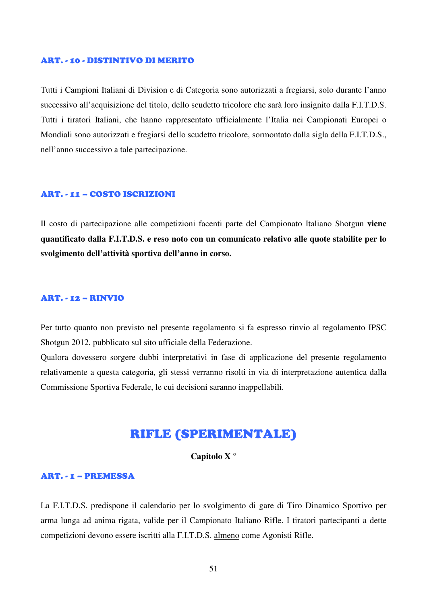#### ART. - 10 - DISTINTIVO DI MERITO

Tutti i Campioni Italiani di Division e di Categoria sono autorizzati a fregiarsi, solo durante l'anno successivo all'acquisizione del titolo, dello scudetto tricolore che sarà loro insignito dalla F.I.T.D.S. Tutti i tiratori Italiani, che hanno rappresentato ufficialmente l'Italia nei Campionati Europei o Mondiali sono autorizzati e fregiarsi dello scudetto tricolore, sormontato dalla sigla della F.I.T.D.S., nell'anno successivo a tale partecipazione.

#### ART. - 11 – COSTO ISCRIZIONI

Il costo di partecipazione alle competizioni facenti parte del Campionato Italiano Shotgun **viene quantificato dalla F.I.T.D.S. e reso noto con un comunicato relativo alle quote stabilite per lo svolgimento dell'attività sportiva dell'anno in corso.**

#### ART. - 12 – RINVIO

Per tutto quanto non previsto nel presente regolamento si fa espresso rinvio al regolamento IPSC Shotgun 2012, pubblicato sul sito ufficiale della Federazione.

Qualora dovessero sorgere dubbi interpretativi in fase di applicazione del presente regolamento relativamente a questa categoria, gli stessi verranno risolti in via di interpretazione autentica dalla Commissione Sportiva Federale, le cui decisioni saranno inappellabili.

## RIFLE (SPERIMENTALE)

#### **Capitolo X °**

#### ART. - 1 – PREMESSA

La F.I.T.D.S. predispone il calendario per lo svolgimento di gare di Tiro Dinamico Sportivo per arma lunga ad anima rigata, valide per il Campionato Italiano Rifle. I tiratori partecipanti a dette competizioni devono essere iscritti alla F.I.T.D.S. almeno come Agonisti Rifle.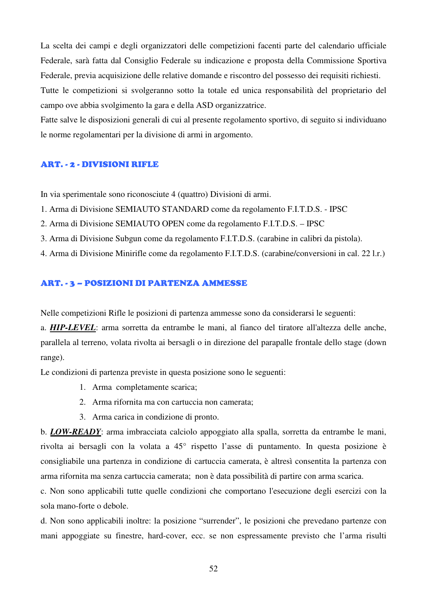La scelta dei campi e degli organizzatori delle competizioni facenti parte del calendario ufficiale Federale, sarà fatta dal Consiglio Federale su indicazione e proposta della Commissione Sportiva Federale, previa acquisizione delle relative domande e riscontro del possesso dei requisiti richiesti. Tutte le competizioni si svolgeranno sotto la totale ed unica responsabilità del proprietario del

campo ove abbia svolgimento la gara e della ASD organizzatrice.

Fatte salve le disposizioni generali di cui al presente regolamento sportivo, di seguito si individuano le norme regolamentari per la divisione di armi in argomento.

#### ART. - 2 - DIVISIONI RIFLE

In via sperimentale sono riconosciute 4 (quattro) Divisioni di armi.

- 1. Arma di Divisione SEMIAUTO STANDARD come da regolamento F.I.T.D.S. IPSC
- 2. Arma di Divisione SEMIAUTO OPEN come da regolamento F.I.T.D.S. IPSC
- 3. Arma di Divisione Subgun come da regolamento F.I.T.D.S. (carabine in calibri da pistola).
- 4. Arma di Divisione Minirifle come da regolamento F.I.T.D.S. (carabine/conversioni in cal. 22 l.r.)

#### ART. - 3 – POSIZIONI DI PARTENZA AMMESSE

Nelle competizioni Rifle le posizioni di partenza ammesse sono da considerarsi le seguenti:

a. *HIP-LEVEL*: arma sorretta da entrambe le mani, al fianco del tiratore all'altezza delle anche, parallela al terreno, volata rivolta ai bersagli o in direzione del parapalle frontale dello stage (down range).

Le condizioni di partenza previste in questa posizione sono le seguenti:

- 1. Arma completamente scarica;
- 2. Arma rifornita ma con cartuccia non camerata;
- 3. Arma carica in condizione di pronto.

b. *LOW-READY*: arma imbracciata calciolo appoggiato alla spalla, sorretta da entrambe le mani, rivolta ai bersagli con la volata a 45° rispetto l'asse di puntamento. In questa posizione è consigliabile una partenza in condizione di cartuccia camerata, è altresì consentita la partenza con arma rifornita ma senza cartuccia camerata; non è data possibilità di partire con arma scarica.

c. Non sono applicabili tutte quelle condizioni che comportano l'esecuzione degli esercizi con la sola mano-forte o debole.

d. Non sono applicabili inoltre: la posizione "surrender", le posizioni che prevedano partenze con mani appoggiate su finestre, hard-cover, ecc. se non espressamente previsto che l'arma risulti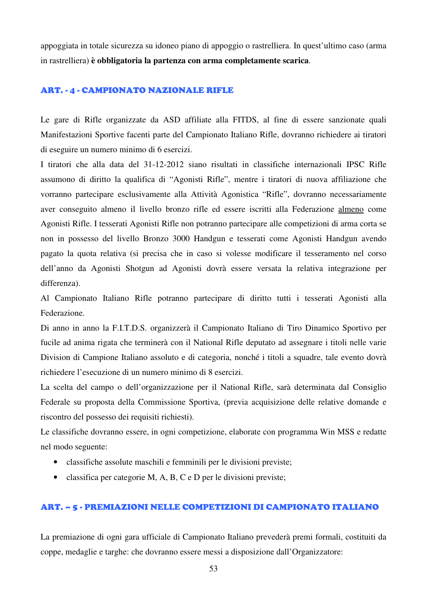appoggiata in totale sicurezza su idoneo piano di appoggio o rastrelliera. In quest'ultimo caso (arma in rastrelliera) **è obbligatoria la partenza con arma completamente scarica**.

#### ART. - 4 - CAMPIONATO NAZIONALE RIFLE

Le gare di Rifle organizzate da ASD affiliate alla FITDS, al fine di essere sanzionate quali Manifestazioni Sportive facenti parte del Campionato Italiano Rifle, dovranno richiedere ai tiratori di eseguire un numero minimo di 6 esercizi.

I tiratori che alla data del 31-12-2012 siano risultati in classifiche internazionali IPSC Rifle assumono di diritto la qualifica di "Agonisti Rifle", mentre i tiratori di nuova affiliazione che vorranno partecipare esclusivamente alla Attività Agonistica "Rifle", dovranno necessariamente aver conseguito almeno il livello bronzo rifle ed essere iscritti alla Federazione almeno come Agonisti Rifle. I tesserati Agonisti Rifle non potranno partecipare alle competizioni di arma corta se non in possesso del livello Bronzo 3000 Handgun e tesserati come Agonisti Handgun avendo pagato la quota relativa (si precisa che in caso si volesse modificare il tesseramento nel corso dell'anno da Agonisti Shotgun ad Agonisti dovrà essere versata la relativa integrazione per differenza).

Al Campionato Italiano Rifle potranno partecipare di diritto tutti i tesserati Agonisti alla Federazione.

Di anno in anno la F.I.T.D.S. organizzerà il Campionato Italiano di Tiro Dinamico Sportivo per fucile ad anima rigata che terminerà con il National Rifle deputato ad assegnare i titoli nelle varie Division di Campione Italiano assoluto e di categoria, nonché i titoli a squadre, tale evento dovrà richiedere l'esecuzione di un numero minimo di 8 esercizi.

La scelta del campo o dell'organizzazione per il National Rifle, sarà determinata dal Consiglio Federale su proposta della Commissione Sportiva, (previa acquisizione delle relative domande e riscontro del possesso dei requisiti richiesti).

Le classifiche dovranno essere, in ogni competizione, elaborate con programma Win MSS e redatte nel modo seguente:

- classifiche assolute maschili e femminili per le divisioni previste;
- classifica per categorie M, A, B, C e D per le divisioni previste;

#### ART. – 5 - PREMIAZIONI NELLE COMPETIZIONI DI CAMPIONATO ITALIANO

La premiazione di ogni gara ufficiale di Campionato Italiano prevederà premi formali, costituiti da coppe, medaglie e targhe: che dovranno essere messi a disposizione dall'Organizzatore: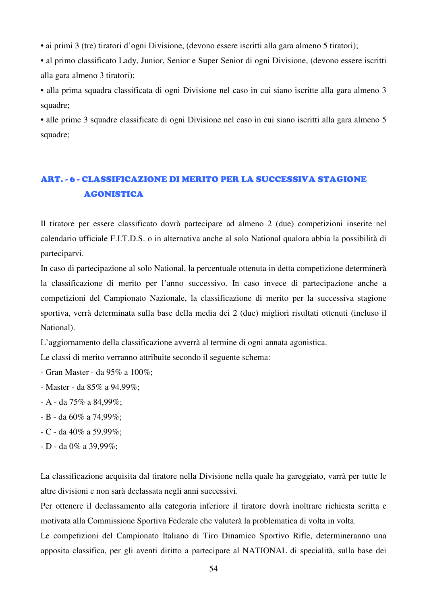• ai primi 3 (tre) tiratori d'ogni Divisione, (devono essere iscritti alla gara almeno 5 tiratori);

• al primo classificato Lady, Junior, Senior e Super Senior di ogni Divisione, (devono essere iscritti alla gara almeno 3 tiratori);

• alla prima squadra classificata di ogni Divisione nel caso in cui siano iscritte alla gara almeno 3 squadre;

• alle prime 3 squadre classificate di ogni Divisione nel caso in cui siano iscritti alla gara almeno 5 squadre;

## ART. - 6 - CLASSIFICAZIONE DI MERITO PER LA SUCCESSIVA STAGIONE AGONISTICA

Il tiratore per essere classificato dovrà partecipare ad almeno 2 (due) competizioni inserite nel calendario ufficiale F.I.T.D.S. o in alternativa anche al solo National qualora abbia la possibilità di parteciparvi.

In caso di partecipazione al solo National, la percentuale ottenuta in detta competizione determinerà la classificazione di merito per l'anno successivo. In caso invece di partecipazione anche a competizioni del Campionato Nazionale, la classificazione di merito per la successiva stagione sportiva, verrà determinata sulla base della media dei 2 (due) migliori risultati ottenuti (incluso il National).

L'aggiornamento della classificazione avverrà al termine di ogni annata agonistica.

Le classi di merito verranno attribuite secondo il seguente schema:

- Gran Master da 95% a 100%;
- Master da 85% a 94.99%;
- A da 75% a 84,99%;
- B da 60% a 74,99%;
- C da 40% a 59,99%;
- D da 0% a 39,99%;

La classificazione acquisita dal tiratore nella Divisione nella quale ha gareggiato, varrà per tutte le altre divisioni e non sarà declassata negli anni successivi.

Per ottenere il declassamento alla categoria inferiore il tiratore dovrà inoltrare richiesta scritta e motivata alla Commissione Sportiva Federale che valuterà la problematica di volta in volta.

Le competizioni del Campionato Italiano di Tiro Dinamico Sportivo Rifle, determineranno una apposita classifica, per gli aventi diritto a partecipare al NATIONAL di specialità, sulla base dei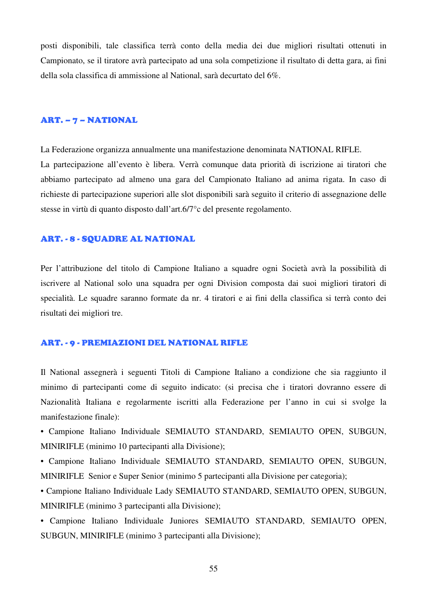posti disponibili, tale classifica terrà conto della media dei due migliori risultati ottenuti in Campionato, se il tiratore avrà partecipato ad una sola competizione il risultato di detta gara, ai fini della sola classifica di ammissione al National, sarà decurtato del 6%.

#### ART. – 7 – NATIONAL

La Federazione organizza annualmente una manifestazione denominata NATIONAL RIFLE. La partecipazione all'evento è libera. Verrà comunque data priorità di iscrizione ai tiratori che abbiamo partecipato ad almeno una gara del Campionato Italiano ad anima rigata. In caso di richieste di partecipazione superiori alle slot disponibili sarà seguito il criterio di assegnazione delle stesse in virtù di quanto disposto dall'art.6/7°c del presente regolamento.

#### ART. - 8 - SQUADRE AL NATIONAL

Per l'attribuzione del titolo di Campione Italiano a squadre ogni Società avrà la possibilità di iscrivere al National solo una squadra per ogni Division composta dai suoi migliori tiratori di specialità. Le squadre saranno formate da nr. 4 tiratori e ai fini della classifica si terrà conto dei risultati dei migliori tre.

#### ART. - 9 - PREMIAZIONI DEL NATIONAL RIFLE

Il National assegnerà i seguenti Titoli di Campione Italiano a condizione che sia raggiunto il minimo di partecipanti come di seguito indicato: (si precisa che i tiratori dovranno essere di Nazionalità Italiana e regolarmente iscritti alla Federazione per l'anno in cui si svolge la manifestazione finale):

• Campione Italiano Individuale SEMIAUTO STANDARD, SEMIAUTO OPEN, SUBGUN, MINIRIFLE (minimo 10 partecipanti alla Divisione);

• Campione Italiano Individuale SEMIAUTO STANDARD, SEMIAUTO OPEN, SUBGUN, MINIRIFLE Senior e Super Senior (minimo 5 partecipanti alla Divisione per categoria);

• Campione Italiano Individuale Lady SEMIAUTO STANDARD, SEMIAUTO OPEN, SUBGUN, MINIRIFLE (minimo 3 partecipanti alla Divisione);

• Campione Italiano Individuale Juniores SEMIAUTO STANDARD, SEMIAUTO OPEN, SUBGUN, MINIRIFLE (minimo 3 partecipanti alla Divisione);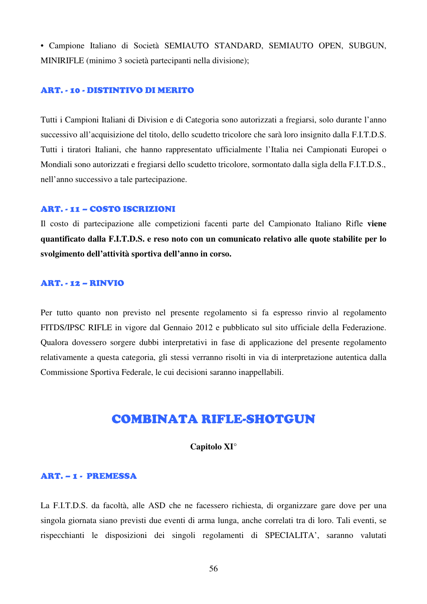• Campione Italiano di Società SEMIAUTO STANDARD, SEMIAUTO OPEN, SUBGUN, MINIRIFLE (minimo 3 società partecipanti nella divisione);

#### ART. - 10 - DISTINTIVO DI MERITO

Tutti i Campioni Italiani di Division e di Categoria sono autorizzati a fregiarsi, solo durante l'anno successivo all'acquisizione del titolo, dello scudetto tricolore che sarà loro insignito dalla F.I.T.D.S. Tutti i tiratori Italiani, che hanno rappresentato ufficialmente l'Italia nei Campionati Europei o Mondiali sono autorizzati e fregiarsi dello scudetto tricolore, sormontato dalla sigla della F.I.T.D.S., nell'anno successivo a tale partecipazione.

#### ART. - 11 – COSTO ISCRIZIONI

Il costo di partecipazione alle competizioni facenti parte del Campionato Italiano Rifle **viene quantificato dalla F.I.T.D.S. e reso noto con un comunicato relativo alle quote stabilite per lo svolgimento dell'attività sportiva dell'anno in corso.**

#### ART. - 12 – RINVIO

Per tutto quanto non previsto nel presente regolamento si fa espresso rinvio al regolamento FITDS/IPSC RIFLE in vigore dal Gennaio 2012 e pubblicato sul sito ufficiale della Federazione. Qualora dovessero sorgere dubbi interpretativi in fase di applicazione del presente regolamento relativamente a questa categoria, gli stessi verranno risolti in via di interpretazione autentica dalla Commissione Sportiva Federale, le cui decisioni saranno inappellabili.

# COMBINATA RIFLE-SHOTGUN

#### **Capitolo XI°**

#### ART. – 1 - PREMESSA

La F.I.T.D.S. da facoltà, alle ASD che ne facessero richiesta, di organizzare gare dove per una singola giornata siano previsti due eventi di arma lunga, anche correlati tra di loro. Tali eventi, se rispecchianti le disposizioni dei singoli regolamenti di SPECIALITA', saranno valutati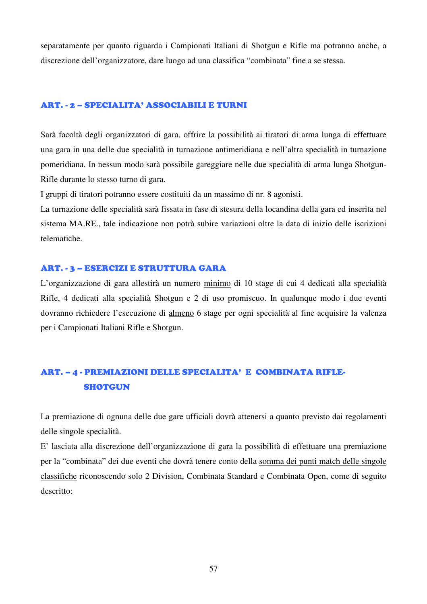separatamente per quanto riguarda i Campionati Italiani di Shotgun e Rifle ma potranno anche, a discrezione dell'organizzatore, dare luogo ad una classifica "combinata" fine a se stessa.

#### ART. - 2 – SPECIALITA' ASSOCIABILI E TURNI

Sarà facoltà degli organizzatori di gara, offrire la possibilità ai tiratori di arma lunga di effettuare una gara in una delle due specialità in turnazione antimeridiana e nell'altra specialità in turnazione pomeridiana. In nessun modo sarà possibile gareggiare nelle due specialità di arma lunga Shotgun-Rifle durante lo stesso turno di gara.

I gruppi di tiratori potranno essere costituiti da un massimo di nr. 8 agonisti.

La turnazione delle specialità sarà fissata in fase di stesura della locandina della gara ed inserita nel sistema MA.RE., tale indicazione non potrà subire variazioni oltre la data di inizio delle iscrizioni telematiche.

#### ART. - 3 – ESERCIZI E STRUTTURA GARA

L'organizzazione di gara allestirà un numero minimo di 10 stage di cui 4 dedicati alla specialità Rifle, 4 dedicati alla specialità Shotgun e 2 di uso promiscuo. In qualunque modo i due eventi dovranno richiedere l'esecuzione di almeno 6 stage per ogni specialità al fine acquisire la valenza per i Campionati Italiani Rifle e Shotgun.

# ART. – 4 - PREMIAZIONI DELLE SPECIALITA' E COMBINATA RIFLE- **SHOTGUN**

La premiazione di ognuna delle due gare ufficiali dovrà attenersi a quanto previsto dai regolamenti delle singole specialità.

E' lasciata alla discrezione dell'organizzazione di gara la possibilità di effettuare una premiazione per la "combinata" dei due eventi che dovrà tenere conto della somma dei punti match delle singole classifiche riconoscendo solo 2 Division, Combinata Standard e Combinata Open, come di seguito descritto: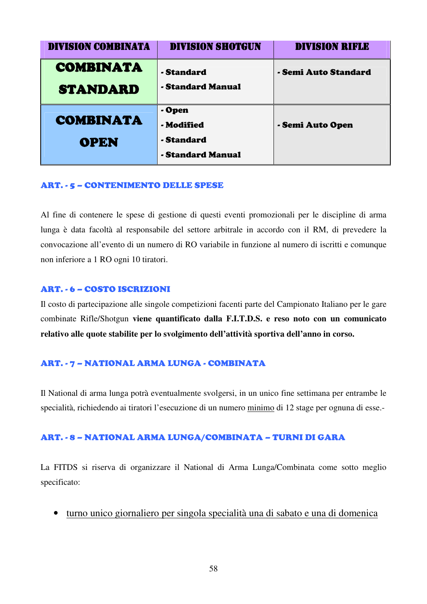| <b>DIVISION COMBINATA</b> | <b>DIVISION SHOTGUN</b> | <b>DIVISION RIFLE</b> |
|---------------------------|-------------------------|-----------------------|
| <b>COMBINATA</b>          | - Standard              | - Semi Auto Standard  |
| <b>STANDARD</b>           | - Standard Manual       |                       |
| <b>COMBINATA</b>          | - Open                  |                       |
|                           | - Modified              | - Semi Auto Open      |
| <b>OPEN</b>               | - Standard              |                       |
|                           | - Standard Manual       |                       |

#### ART. - 5 – CONTENIMENTO DELLE SPESE

Al fine di contenere le spese di gestione di questi eventi promozionali per le discipline di arma lunga è data facoltà al responsabile del settore arbitrale in accordo con il RM, di prevedere la convocazione all'evento di un numero di RO variabile in funzione al numero di iscritti e comunque non inferiore a 1 RO ogni 10 tiratori.

#### ART. - 6 – COSTO ISCRIZIONI

Il costo di partecipazione alle singole competizioni facenti parte del Campionato Italiano per le gare combinate Rifle/Shotgun **viene quantificato dalla F.I.T.D.S. e reso noto con un comunicato relativo alle quote stabilite per lo svolgimento dell'attività sportiva dell'anno in corso.**

#### ART. - 7 – NATIONAL ARMA LUNGA - COMBINATA

Il National di arma lunga potrà eventualmente svolgersi, in un unico fine settimana per entrambe le specialità, richiedendo ai tiratori l'esecuzione di un numero minimo di 12 stage per ognuna di esse.-

#### ART. - 8 – NATIONAL ARMA LUNGA/COMBINATA – TURNI DI GARA

La FITDS si riserva di organizzare il National di Arma Lunga/Combinata come sotto meglio specificato:

• turno unico giornaliero per singola specialità una di sabato e una di domenica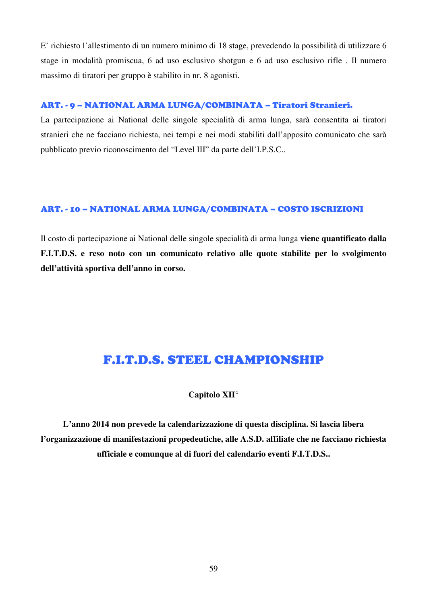E' richiesto l'allestimento di un numero minimo di 18 stage, prevedendo la possibilità di utilizzare 6 stage in modalità promiscua, 6 ad uso esclusivo shotgun e 6 ad uso esclusivo rifle . Il numero massimo di tiratori per gruppo è stabilito in nr. 8 agonisti.

#### ART. - 9 – NATIONAL ARMA LUNGA/COMBINATA – Tiratori Stranieri.

La partecipazione ai National delle singole specialità di arma lunga, sarà consentita ai tiratori stranieri che ne facciano richiesta, nei tempi e nei modi stabiliti dall'apposito comunicato che sarà pubblicato previo riconoscimento del "Level III" da parte dell'I.P.S.C..

#### ART. - 10 – NATIONAL ARMA LUNGA/COMBINATA – COSTO ISCRIZIONI

Il costo di partecipazione ai National delle singole specialità di arma lunga **viene quantificato dalla F.I.T.D.S. e reso noto con un comunicato relativo alle quote stabilite per lo svolgimento dell'attività sportiva dell'anno in corso.**

# F.I.T.D.S. STEEL CHAMPIONSHIP

#### **Capitolo XII°**

**L'anno 2014 non prevede la calendarizzazione di questa disciplina. Si lascia libera l'organizzazione di manifestazioni propedeutiche, alle A.S.D. affiliate che ne facciano richiesta ufficiale e comunque al di fuori del calendario eventi F.I.T.D.S..**